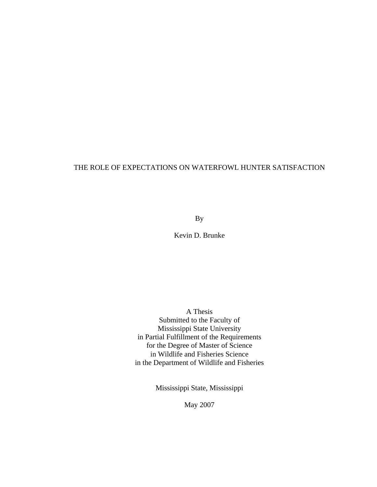# THE ROLE OF EXPECTATIONS ON WATERFOWL HUNTER SATISFACTION

By

Kevin D. Brunke

A Thesis Submitted to the Faculty of Mississippi State University in Partial Fulfillment of the Requirements for the Degree of Master of Science in Wildlife and Fisheries Science in the Department of Wildlife and Fisheries

Mississippi State, Mississippi

May 2007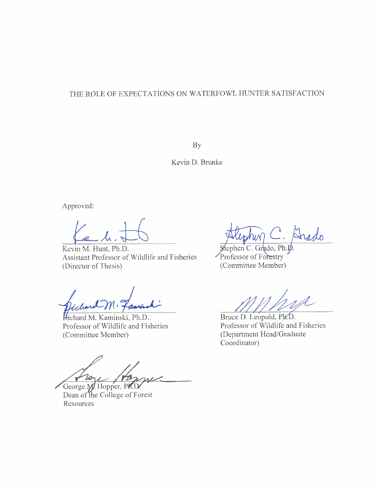# THE ROLE OF EXPECTATIONS ON WATERFOWL HUNTER SATISFACTION

**BY** 

Kevin D. Brunke

Approved:

 $\ell$ e.h. $\pm$ 

Kevin M. Hunt, Ph.D. Assistant Professor of Wildlife and Fisheries (Director of Thesis)

Kichard M. Kaminski, Ph.D. Professor of Wildlife and Fisheries (Committee Member)

20-

George M. Hopper, Ph.D. Dean of the College of Forest Resources

 $\frac{$  Stephen C. Grado, Ph. (Committee Member)

Bruce D. Leopold, Ph.D. Professor of wildlife and Fisheries (Department Head/Graduate Coordinator)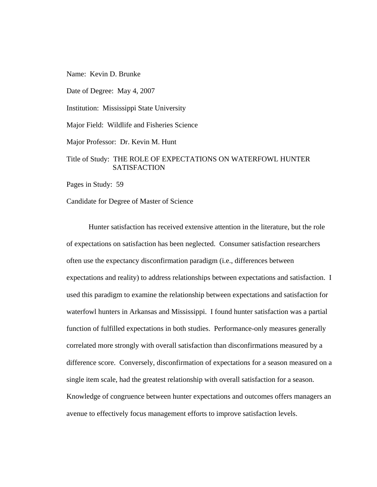Name: Kevin D. Brunke

Date of Degree: May 4, 2007

Institution: Mississippi State University

Major Field: Wildlife and Fisheries Science

Major Professor: Dr. Kevin M. Hunt

# Title of Study: THE ROLE OF EXPECTATIONS ON WATERFOWL HUNTER **SATISFACTION**

Pages in Study: 59

Candidate for Degree of Master of Science

 Hunter satisfaction has received extensive attention in the literature, but the role of expectations on satisfaction has been neglected. Consumer satisfaction researchers often use the expectancy disconfirmation paradigm (i.e., differences between expectations and reality) to address relationships between expectations and satisfaction. I used this paradigm to examine the relationship between expectations and satisfaction for waterfowl hunters in Arkansas and Mississippi. I found hunter satisfaction was a partial function of fulfilled expectations in both studies. Performance-only measures generally correlated more strongly with overall satisfaction than disconfirmations measured by a difference score. Conversely, disconfirmation of expectations for a season measured on a single item scale, had the greatest relationship with overall satisfaction for a season. Knowledge of congruence between hunter expectations and outcomes offers managers an avenue to effectively focus management efforts to improve satisfaction levels.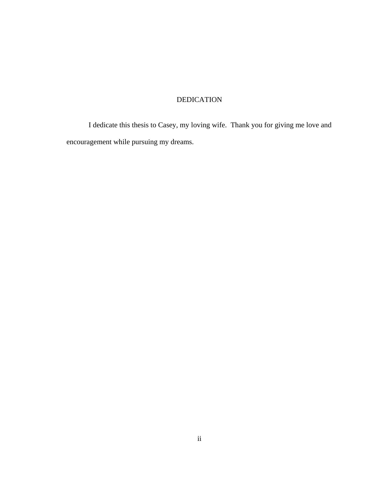# DEDICATION

 I dedicate this thesis to Casey, my loving wife. Thank you for giving me love and encouragement while pursuing my dreams.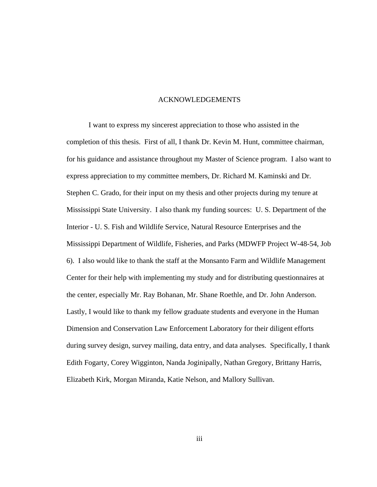## ACKNOWLEDGEMENTS

I want to express my sincerest appreciation to those who assisted in the completion of this thesis. First of all, I thank Dr. Kevin M. Hunt, committee chairman, for his guidance and assistance throughout my Master of Science program. I also want to express appreciation to my committee members, Dr. Richard M. Kaminski and Dr. Stephen C. Grado, for their input on my thesis and other projects during my tenure at Mississippi State University. I also thank my funding sources: U. S. Department of the Interior - U. S. Fish and Wildlife Service, Natural Resource Enterprises and the Mississippi Department of Wildlife, Fisheries, and Parks (MDWFP Project W-48-54, Job 6). I also would like to thank the staff at the Monsanto Farm and Wildlife Management Center for their help with implementing my study and for distributing questionnaires at the center, especially Mr. Ray Bohanan, Mr. Shane Roethle, and Dr. John Anderson. Lastly, I would like to thank my fellow graduate students and everyone in the Human Dimension and Conservation Law Enforcement Laboratory for their diligent efforts during survey design, survey mailing, data entry, and data analyses. Specifically, I thank Edith Fogarty, Corey Wigginton, Nanda Joginipally, Nathan Gregory, Brittany Harris, Elizabeth Kirk, Morgan Miranda, Katie Nelson, and Mallory Sullivan.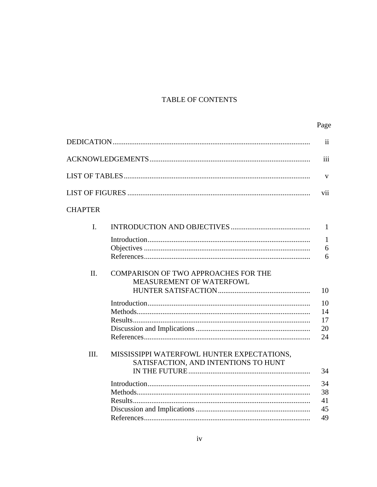# TABLE OF CONTENTS

# Page

|                |                                             | $\mathbf{ii}$ |
|----------------|---------------------------------------------|---------------|
|                |                                             | iii           |
|                |                                             | $\mathbf{V}$  |
|                |                                             | vii           |
| <b>CHAPTER</b> |                                             |               |
| $\mathbf{I}$ . |                                             | 1             |
|                |                                             | $\mathbf{1}$  |
|                |                                             | 6             |
|                |                                             | 6             |
| II.            | <b>COMPARISON OF TWO APPROACHES FOR THE</b> |               |
|                | MEASUREMENT OF WATERFOWL                    |               |
|                |                                             | 10            |
|                |                                             | 10            |
|                |                                             | 14            |
|                |                                             | 17            |
|                |                                             | 20            |
|                |                                             | 24            |
| III.           | MISSISSIPPI WATERFOWL HUNTER EXPECTATIONS,  |               |
|                | SATISFACTION, AND INTENTIONS TO HUNT        |               |
|                |                                             | 34            |
|                |                                             | 34            |
|                |                                             | 38            |
|                |                                             | 41            |
|                |                                             | 45            |
|                |                                             | 49            |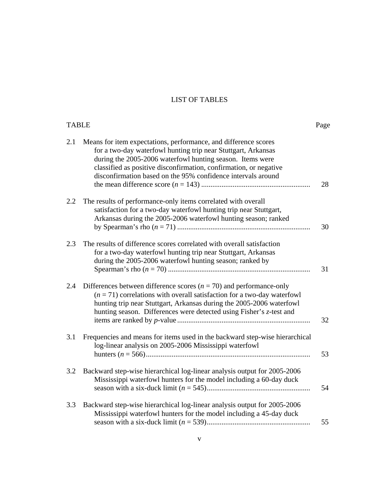# LIST OF TABLES

| <b>TABLE</b> |                                                                                                                                                                                                                                                                                                                                    | Page |
|--------------|------------------------------------------------------------------------------------------------------------------------------------------------------------------------------------------------------------------------------------------------------------------------------------------------------------------------------------|------|
| 2.1          | Means for item expectations, performance, and difference scores<br>for a two-day waterfowl hunting trip near Stuttgart, Arkansas<br>during the 2005-2006 waterfowl hunting season. Items were<br>classified as positive disconfirmation, confirmation, or negative<br>disconfirmation based on the 95% confidence intervals around | 28   |
| 2.2          | The results of performance-only items correlated with overall<br>satisfaction for a two-day waterfowl hunting trip near Stuttgart,<br>Arkansas during the 2005-2006 waterfowl hunting season; ranked                                                                                                                               | 30   |
| 2.3          | The results of difference scores correlated with overall satisfaction<br>for a two-day waterfowl hunting trip near Stuttgart, Arkansas<br>during the 2005-2006 waterfowl hunting season; ranked by                                                                                                                                 | 31   |
| 2.4          | Differences between difference scores ( $n = 70$ ) and performance-only<br>$(n = 71)$ correlations with overall satisfaction for a two-day waterfowl<br>hunting trip near Stuttgart, Arkansas during the 2005-2006 waterfowl<br>hunting season. Differences were detected using Fisher's z-test and                                | 32   |
| 3.1          | Frequencies and means for items used in the backward step-wise hierarchical<br>log-linear analysis on 2005-2006 Mississippi waterfowl                                                                                                                                                                                              | 53   |
| 3.2          | Backward step-wise hierarchical log-linear analysis output for 2005-2006<br>Mississippi waterfowl hunters for the model including a 60-day duck                                                                                                                                                                                    | 54   |
| 3.3          | Backward step-wise hierarchical log-linear analysis output for 2005-2006<br>Mississippi waterfowl hunters for the model including a 45-day duck                                                                                                                                                                                    | 55   |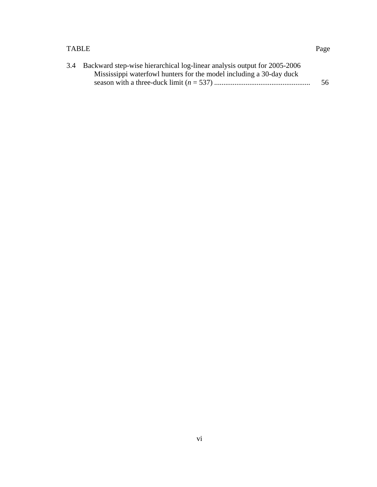# TABLE Page

| 3.4 Backward step-wise hierarchical log-linear analysis output for 2005-2006 |    |
|------------------------------------------------------------------------------|----|
| Mississippi waterfowl hunters for the model including a 30-day duck          |    |
|                                                                              | 56 |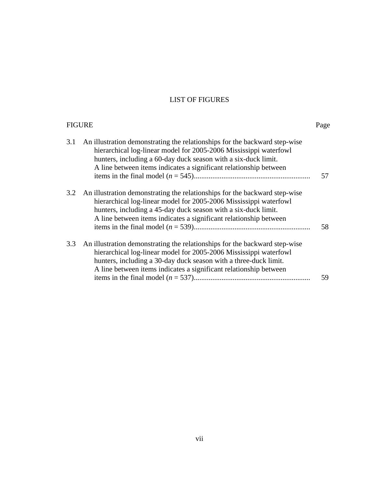# LIST OF FIGURES

| <b>FIGURE</b> |                                                                                                                                                                                                                                                                                          | Page |
|---------------|------------------------------------------------------------------------------------------------------------------------------------------------------------------------------------------------------------------------------------------------------------------------------------------|------|
| 3.1           | An illustration demonstrating the relationships for the backward step-wise<br>hierarchical log-linear model for 2005-2006 Mississippi waterfowl<br>hunters, including a 60-day duck season with a six-duck limit.<br>A line between items indicates a significant relationship between   | 57   |
| 3.2           | An illustration demonstrating the relationships for the backward step-wise<br>hierarchical log-linear model for 2005-2006 Mississippi waterfowl<br>hunters, including a 45-day duck season with a six-duck limit.<br>A line between items indicates a significant relationship between   | 58   |
| 3.3           | An illustration demonstrating the relationships for the backward step-wise<br>hierarchical log-linear model for 2005-2006 Mississippi waterfowl<br>hunters, including a 30-day duck season with a three-duck limit.<br>A line between items indicates a significant relationship between | 59   |
|               |                                                                                                                                                                                                                                                                                          |      |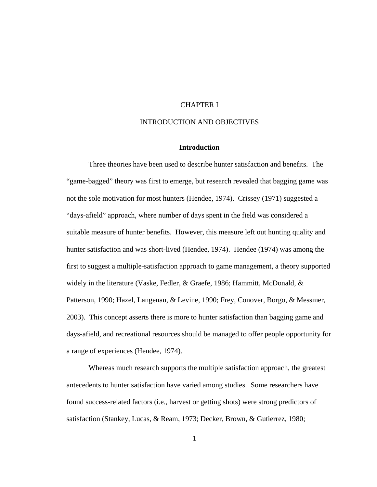# CHAPTER I

# INTRODUCTION AND OBJECTIVES

#### **Introduction**

 Three theories have been used to describe hunter satisfaction and benefits. The "game-bagged" theory was first to emerge, but research revealed that bagging game was not the sole motivation for most hunters (Hendee, 1974). Crissey (1971) suggested a "days-afield" approach, where number of days spent in the field was considered a suitable measure of hunter benefits. However, this measure left out hunting quality and hunter satisfaction and was short-lived (Hendee, 1974). Hendee (1974) was among the first to suggest a multiple-satisfaction approach to game management, a theory supported widely in the literature (Vaske, Fedler, & Graefe, 1986; Hammitt, McDonald, & Patterson, 1990; Hazel, Langenau, & Levine, 1990; Frey, Conover, Borgo, & Messmer, 2003). This concept asserts there is more to hunter satisfaction than bagging game and days-afield, and recreational resources should be managed to offer people opportunity for a range of experiences (Hendee, 1974).

 Whereas much research supports the multiple satisfaction approach, the greatest antecedents to hunter satisfaction have varied among studies. Some researchers have found success-related factors (i.e., harvest or getting shots) were strong predictors of satisfaction (Stankey, Lucas, & Ream, 1973; Decker, Brown, & Gutierrez, 1980;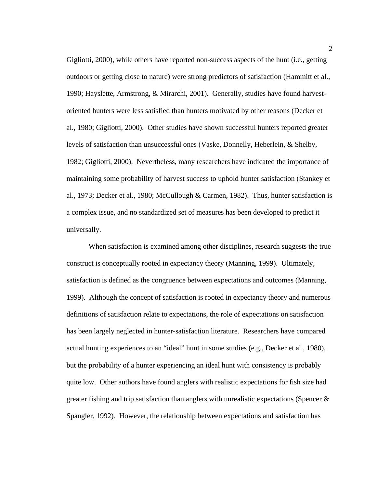Gigliotti, 2000), while others have reported non-success aspects of the hunt (i.e., getting outdoors or getting close to nature) were strong predictors of satisfaction (Hammitt et al., 1990; Hayslette, Armstrong, & Mirarchi, 2001). Generally, studies have found harvestoriented hunters were less satisfied than hunters motivated by other reasons (Decker et al., 1980; Gigliotti, 2000). Other studies have shown successful hunters reported greater levels of satisfaction than unsuccessful ones (Vaske, Donnelly, Heberlein, & Shelby, 1982; Gigliotti, 2000). Nevertheless, many researchers have indicated the importance of maintaining some probability of harvest success to uphold hunter satisfaction (Stankey et al., 1973; Decker et al., 1980; McCullough & Carmen, 1982). Thus, hunter satisfaction is a complex issue, and no standardized set of measures has been developed to predict it universally.

 When satisfaction is examined among other disciplines, research suggests the true construct is conceptually rooted in expectancy theory (Manning, 1999). Ultimately, satisfaction is defined as the congruence between expectations and outcomes (Manning, 1999). Although the concept of satisfaction is rooted in expectancy theory and numerous definitions of satisfaction relate to expectations, the role of expectations on satisfaction has been largely neglected in hunter-satisfaction literature. Researchers have compared actual hunting experiences to an "ideal" hunt in some studies (e.g., Decker et al., 1980), but the probability of a hunter experiencing an ideal hunt with consistency is probably quite low. Other authors have found anglers with realistic expectations for fish size had greater fishing and trip satisfaction than anglers with unrealistic expectations (Spencer & Spangler, 1992). However, the relationship between expectations and satisfaction has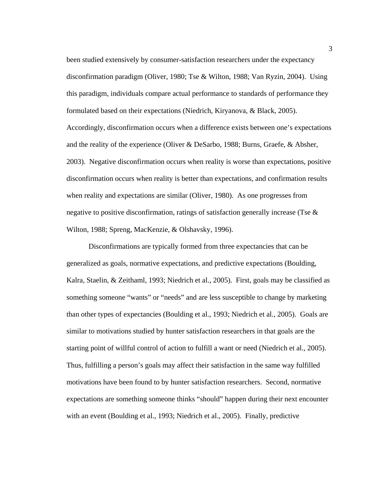been studied extensively by consumer-satisfaction researchers under the expectancy disconfirmation paradigm (Oliver, 1980; Tse & Wilton, 1988; Van Ryzin, 2004). Using this paradigm, individuals compare actual performance to standards of performance they formulated based on their expectations (Niedrich, Kiryanova, & Black, 2005). Accordingly, disconfirmation occurs when a difference exists between one's expectations and the reality of the experience (Oliver & DeSarbo, 1988; Burns, Graefe, & Absher, 2003). Negative disconfirmation occurs when reality is worse than expectations, positive disconfirmation occurs when reality is better than expectations, and confirmation results when reality and expectations are similar (Oliver, 1980). As one progresses from negative to positive disconfirmation, ratings of satisfaction generally increase (Tse & Wilton, 1988; Spreng, MacKenzie, & Olshavsky, 1996).

 Disconfirmations are typically formed from three expectancies that can be generalized as goals, normative expectations, and predictive expectations (Boulding, Kalra, Staelin, & Zeithaml, 1993; Niedrich et al., 2005). First, goals may be classified as something someone "wants" or "needs" and are less susceptible to change by marketing than other types of expectancies (Boulding et al., 1993; Niedrich et al., 2005). Goals are similar to motivations studied by hunter satisfaction researchers in that goals are the starting point of willful control of action to fulfill a want or need (Niedrich et al., 2005). Thus, fulfilling a person's goals may affect their satisfaction in the same way fulfilled motivations have been found to by hunter satisfaction researchers. Second, normative expectations are something someone thinks "should" happen during their next encounter with an event (Boulding et al., 1993; Niedrich et al., 2005). Finally, predictive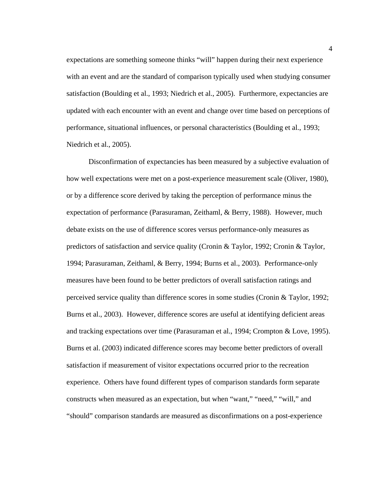expectations are something someone thinks "will" happen during their next experience with an event and are the standard of comparison typically used when studying consumer satisfaction (Boulding et al., 1993; Niedrich et al., 2005). Furthermore, expectancies are updated with each encounter with an event and change over time based on perceptions of performance, situational influences, or personal characteristics (Boulding et al., 1993; Niedrich et al., 2005).

 Disconfirmation of expectancies has been measured by a subjective evaluation of how well expectations were met on a post-experience measurement scale (Oliver, 1980), or by a difference score derived by taking the perception of performance minus the expectation of performance (Parasuraman, Zeithaml, & Berry, 1988). However, much debate exists on the use of difference scores versus performance-only measures as predictors of satisfaction and service quality (Cronin & Taylor, 1992; Cronin & Taylor, 1994; Parasuraman, Zeithaml, & Berry, 1994; Burns et al., 2003). Performance-only measures have been found to be better predictors of overall satisfaction ratings and perceived service quality than difference scores in some studies (Cronin & Taylor, 1992; Burns et al., 2003). However, difference scores are useful at identifying deficient areas and tracking expectations over time (Parasuraman et al., 1994; Crompton & Love, 1995). Burns et al. (2003) indicated difference scores may become better predictors of overall satisfaction if measurement of visitor expectations occurred prior to the recreation experience. Others have found different types of comparison standards form separate constructs when measured as an expectation, but when "want," "need," "will," and "should" comparison standards are measured as disconfirmations on a post-experience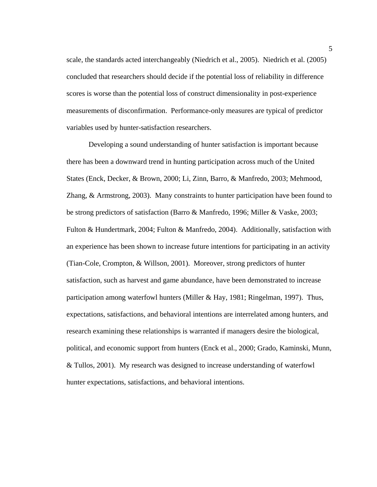scale, the standards acted interchangeably (Niedrich et al., 2005). Niedrich et al. (2005) concluded that researchers should decide if the potential loss of reliability in difference scores is worse than the potential loss of construct dimensionality in post-experience measurements of disconfirmation. Performance-only measures are typical of predictor variables used by hunter-satisfaction researchers.

 Developing a sound understanding of hunter satisfaction is important because there has been a downward trend in hunting participation across much of the United States (Enck, Decker, & Brown, 2000; Li, Zinn, Barro, & Manfredo, 2003; Mehmood, Zhang, & Armstrong, 2003). Many constraints to hunter participation have been found to be strong predictors of satisfaction (Barro & Manfredo, 1996; Miller & Vaske, 2003; Fulton & Hundertmark, 2004; Fulton & Manfredo, 2004). Additionally, satisfaction with an experience has been shown to increase future intentions for participating in an activity (Tian-Cole, Crompton, & Willson, 2001). Moreover, strong predictors of hunter satisfaction, such as harvest and game abundance, have been demonstrated to increase participation among waterfowl hunters (Miller & Hay, 1981; Ringelman, 1997). Thus, expectations, satisfactions, and behavioral intentions are interrelated among hunters, and research examining these relationships is warranted if managers desire the biological, political, and economic support from hunters (Enck et al., 2000; Grado, Kaminski, Munn, & Tullos, 2001). My research was designed to increase understanding of waterfowl hunter expectations, satisfactions, and behavioral intentions.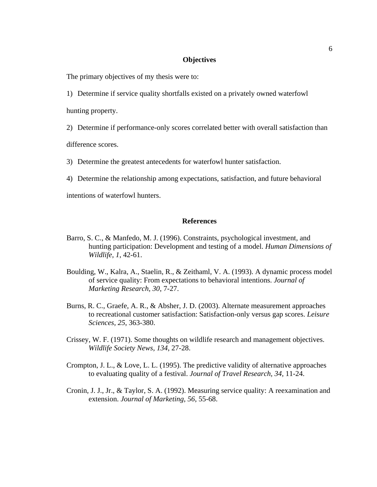# **Objectives**

The primary objectives of my thesis were to:

1) Determine if service quality shortfalls existed on a privately owned waterfowl hunting property.

2) Determine if performance-only scores correlated better with overall satisfaction than

difference scores.

3) Determine the greatest antecedents for waterfowl hunter satisfaction.

4) Determine the relationship among expectations, satisfaction, and future behavioral

intentions of waterfowl hunters.

## **References**

- Barro, S. C., & Manfedo, M. J. (1996). Constraints, psychological investment, and hunting participation: Development and testing of a model. *Human Dimensions of Wildlife, 1*, 42-61.
- Boulding, W., Kalra, A., Staelin, R., & Zeithaml, V. A. (1993). A dynamic process model of service quality: From expectations to behavioral intentions. *Journal of Marketing Research, 30*, 7-27.
- Burns, R. C., Graefe, A. R., & Absher, J. D. (2003). Alternate measurement approaches to recreational customer satisfaction: Satisfaction-only versus gap scores. *Leisure Sciences, 25*, 363-380.
- Crissey, W. F. (1971). Some thoughts on wildlife research and management objectives. *Wildlife Society News, 134*, 27-28.
- Crompton, J. L., & Love, L. L. (1995). The predictive validity of alternative approaches to evaluating quality of a festival. *Journal of Travel Research, 34*, 11-24.
- Cronin, J. J., Jr., & Taylor, S. A. (1992). Measuring service quality: A reexamination and extension. *Journal of Marketing, 56*, 55-68.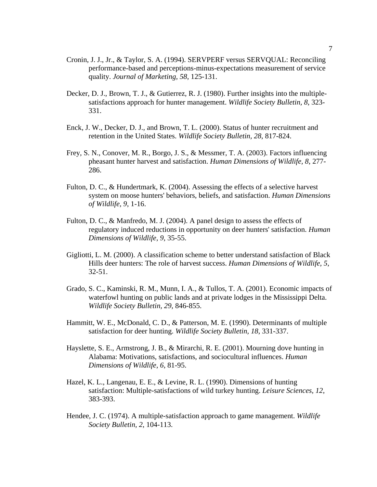- Cronin, J. J., Jr., & Taylor, S. A. (1994). SERVPERF versus SERVQUAL: Reconciling performance-based and perceptions-minus-expectations measurement of service quality. *Journal of Marketing, 58*, 125-131.
- Decker, D. J., Brown, T. J., & Gutierrez, R. J. (1980). Further insights into the multiplesatisfactions approach for hunter management. *Wildlife Society Bulletin, 8*, 323- 331.
- Enck, J. W., Decker, D. J., and Brown, T. L. (2000). Status of hunter recruitment and retention in the United States. *Wildlife Society Bulletin, 28*, 817-824.
- Frey, S. N., Conover, M. R., Borgo, J. S., & Messmer, T. A. (2003). Factors influencing pheasant hunter harvest and satisfaction. *Human Dimensions of Wildlife, 8*, 277- 286.
- Fulton, D. C., & Hundertmark, K. (2004). Assessing the effects of a selective harvest system on moose hunters' behaviors, beliefs, and satisfaction. *Human Dimensions of Wildlife, 9*, 1-16.
- Fulton, D. C., & Manfredo, M. J. (2004). A panel design to assess the effects of regulatory induced reductions in opportunity on deer hunters' satisfaction. *Human Dimensions of Wildlife, 9*, 35-55.
- Gigliotti, L. M. (2000). A classification scheme to better understand satisfaction of Black Hills deer hunters: The role of harvest success. *Human Dimensions of Wildlife, 5*, 32-51.
- Grado, S. C., Kaminski, R. M., Munn, I. A., & Tullos, T. A. (2001). Economic impacts of waterfowl hunting on public lands and at private lodges in the Mississippi Delta. *Wildlife Society Bulletin, 29*, 846-855.
- Hammitt, W. E., McDonald, C. D., & Patterson, M. E. (1990). Determinants of multiple satisfaction for deer hunting. *Wildlife Society Bulletin, 18*, 331-337.
- Hayslette, S. E., Armstrong, J. B., & Mirarchi, R. E. (2001). Mourning dove hunting in Alabama: Motivations, satisfactions, and sociocultural influences. *Human Dimensions of Wildlife, 6*, 81-95.
- Hazel, K. L., Langenau, E. E., & Levine, R. L. (1990). Dimensions of hunting satisfaction: Multiple-satisfactions of wild turkey hunting. *Leisure Sciences, 12*, 383-393.
- Hendee, J. C. (1974). A multiple-satisfaction approach to game management. *Wildlife Society Bulletin, 2*, 104-113.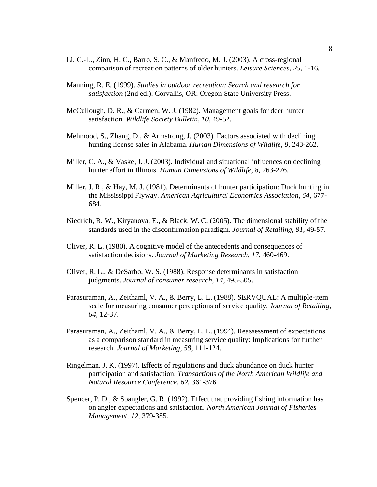- Li, C.-L., Zinn, H. C., Barro, S. C., & Manfredo, M. J. (2003). A cross-regional comparison of recreation patterns of older hunters. *Leisure Sciences, 25*, 1-16.
- Manning, R. E. (1999). *Studies in outdoor recreation: Search and research for satisfaction* (2nd ed.). Corvallis, OR: Oregon State University Press.
- McCullough, D. R., & Carmen, W. J. (1982). Management goals for deer hunter satisfaction. *Wildlife Society Bulletin, 10*, 49-52.
- Mehmood, S., Zhang, D., & Armstrong, J. (2003). Factors associated with declining hunting license sales in Alabama. *Human Dimensions of Wildlife, 8*, 243-262.
- Miller, C. A., & Vaske, J. J. (2003). Individual and situational influences on declining hunter effort in Illinois. *Human Dimensions of Wildlife, 8*, 263-276.
- Miller, J. R., & Hay, M. J. (1981). Determinants of hunter participation: Duck hunting in the Mississippi Flyway. *American Agricultural Economics Association*, *64*, 677- 684.
- Niedrich, R. W., Kiryanova, E., & Black, W. C. (2005). The dimensional stability of the standards used in the disconfirmation paradigm. *Journal of Retailing, 81*, 49-57.
- Oliver, R. L. (1980). A cognitive model of the antecedents and consequences of satisfaction decisions. *Journal of Marketing Research, 17*, 460-469.
- Oliver, R. L., & DeSarbo, W. S. (1988). Response determinants in satisfaction judgments. *Journal of consumer research, 14*, 495-505.
- Parasuraman, A., Zeithaml, V. A., & Berry, L. L. (1988). SERVQUAL: A multiple-item scale for measuring consumer perceptions of service quality. *Journal of Retailing, 64*, 12-37.
- Parasuraman, A., Zeithaml, V. A., & Berry, L. L. (1994). Reassessment of expectations as a comparison standard in measuring service quality: Implications for further research. *Journal of Marketing, 58*, 111-124.
- Ringelman, J. K. (1997). Effects of regulations and duck abundance on duck hunter participation and satisfaction. *Transactions of the North American Wildlife and Natural Resource Conference, 62*, 361-376.
- Spencer, P. D., & Spangler, G. R. (1992). Effect that providing fishing information has on angler expectations and satisfaction. *North American Journal of Fisheries Management, 12*, 379-385.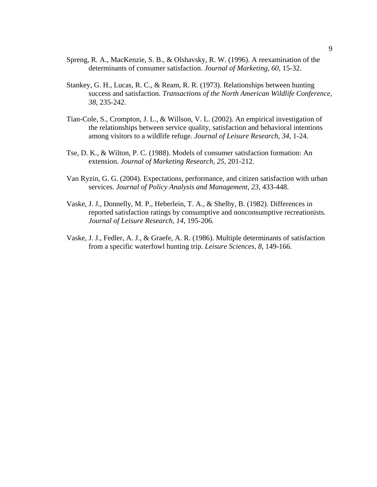- Spreng, R. A., MacKenzie, S. B., & Olshavsky, R. W. (1996). A reexamination of the determinants of consumer satisfaction. *Journal of Marketing, 60*, 15-32.
- Stankey, G. H., Lucas, R. C., & Ream, R. R. (1973). Relationships between hunting success and satisfaction. *Transactions of the North American Wildlife Conference, 38*, 235-242.
- Tian-Cole, S., Crompton, J. L., & Willson, V. L. (2002). An empirical investigation of the relationships between service quality, satisfaction and behavioral intentions among visitors to a wildlife refuge. *Journal of Leisure Research, 34*, 1-24.
- Tse, D. K., & Wilton, P. C. (1988). Models of consumer satisfaction formation: An extension. *Journal of Marketing Research, 25*, 201-212.
- Van Ryzin, G. G. (2004). Expectations, performance, and citizen satisfaction with urban services. *Journal of Policy Analysis and Management, 23*, 433-448.
- Vaske, J. J., Donnelly, M. P., Heberlein, T. A., & Shelby, B. (1982). Differences in reported satisfaction ratings by consumptive and nonconsumptive recreationists. *Journal of Leisure Research, 14*, 195-206.
- Vaske, J. J., Fedler, A. J., & Graefe, A. R. (1986). Multiple determinants of satisfaction from a specific waterfowl hunting trip. *Leisure Sciences, 8*, 149-166.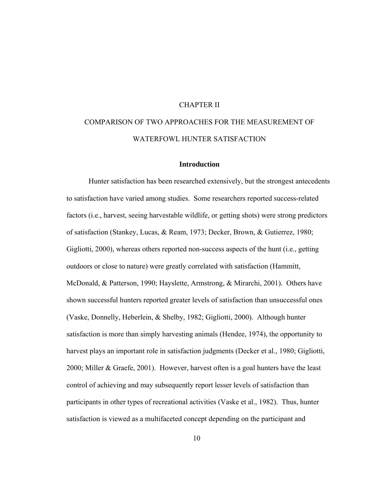# CHAPTER II

# COMPARISON OF TWO APPROACHES FOR THE MEASUREMENT OF WATERFOWL HUNTER SATISFACTION

### **Introduction**

 Hunter satisfaction has been researched extensively, but the strongest antecedents to satisfaction have varied among studies. Some researchers reported success-related factors (i.e., harvest, seeing harvestable wildlife, or getting shots) were strong predictors of satisfaction (Stankey, Lucas, & Ream, 1973; Decker, Brown, & Gutierrez, 1980; Gigliotti, 2000), whereas others reported non-success aspects of the hunt (i.e., getting outdoors or close to nature) were greatly correlated with satisfaction (Hammitt, McDonald, & Patterson, 1990; Hayslette, Armstrong, & Mirarchi, 2001). Others have shown successful hunters reported greater levels of satisfaction than unsuccessful ones (Vaske, Donnelly, Heberlein, & Shelby, 1982; Gigliotti, 2000). Although hunter satisfaction is more than simply harvesting animals (Hendee, 1974), the opportunity to harvest plays an important role in satisfaction judgments (Decker et al., 1980; Gigliotti, 2000; Miller & Graefe, 2001). However, harvest often is a goal hunters have the least control of achieving and may subsequently report lesser levels of satisfaction than participants in other types of recreational activities (Vaske et al., 1982). Thus, hunter satisfaction is viewed as a multifaceted concept depending on the participant and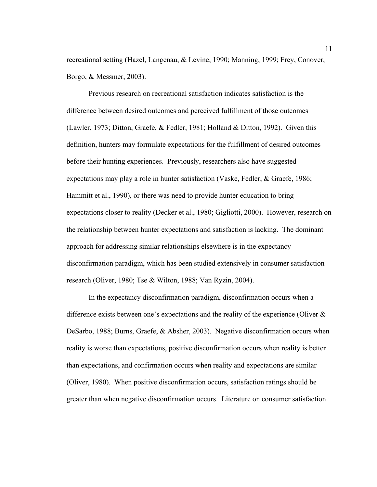recreational setting (Hazel, Langenau, & Levine, 1990; Manning, 1999; Frey, Conover, Borgo, & Messmer, 2003).

 Previous research on recreational satisfaction indicates satisfaction is the difference between desired outcomes and perceived fulfillment of those outcomes (Lawler, 1973; Ditton, Graefe, & Fedler, 1981; Holland & Ditton, 1992). Given this definition, hunters may formulate expectations for the fulfillment of desired outcomes before their hunting experiences. Previously, researchers also have suggested expectations may play a role in hunter satisfaction (Vaske, Fedler, & Graefe, 1986; Hammitt et al., 1990), or there was need to provide hunter education to bring expectations closer to reality (Decker et al., 1980; Gigliotti, 2000). However, research on the relationship between hunter expectations and satisfaction is lacking. The dominant approach for addressing similar relationships elsewhere is in the expectancy disconfirmation paradigm, which has been studied extensively in consumer satisfaction research (Oliver, 1980; Tse & Wilton, 1988; Van Ryzin, 2004).

 In the expectancy disconfirmation paradigm, disconfirmation occurs when a difference exists between one's expectations and the reality of the experience (Oliver & DeSarbo, 1988; Burns, Graefe, & Absher, 2003). Negative disconfirmation occurs when reality is worse than expectations, positive disconfirmation occurs when reality is better than expectations, and confirmation occurs when reality and expectations are similar (Oliver, 1980). When positive disconfirmation occurs, satisfaction ratings should be greater than when negative disconfirmation occurs. Literature on consumer satisfaction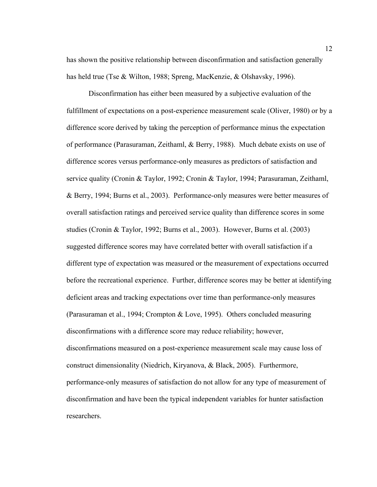has shown the positive relationship between disconfirmation and satisfaction generally has held true (Tse & Wilton, 1988; Spreng, MacKenzie, & Olshavsky, 1996).

 Disconfirmation has either been measured by a subjective evaluation of the fulfillment of expectations on a post-experience measurement scale (Oliver, 1980) or by a difference score derived by taking the perception of performance minus the expectation of performance (Parasuraman, Zeithaml, & Berry, 1988). Much debate exists on use of difference scores versus performance-only measures as predictors of satisfaction and service quality (Cronin & Taylor, 1992; Cronin & Taylor, 1994; Parasuraman, Zeithaml, & Berry, 1994; Burns et al., 2003). Performance-only measures were better measures of overall satisfaction ratings and perceived service quality than difference scores in some studies (Cronin & Taylor, 1992; Burns et al., 2003). However, Burns et al. (2003) suggested difference scores may have correlated better with overall satisfaction if a different type of expectation was measured or the measurement of expectations occurred before the recreational experience. Further, difference scores may be better at identifying deficient areas and tracking expectations over time than performance-only measures (Parasuraman et al., 1994; Crompton & Love, 1995). Others concluded measuring disconfirmations with a difference score may reduce reliability; however, disconfirmations measured on a post-experience measurement scale may cause loss of construct dimensionality (Niedrich, Kiryanova, & Black, 2005). Furthermore, performance-only measures of satisfaction do not allow for any type of measurement of disconfirmation and have been the typical independent variables for hunter satisfaction researchers.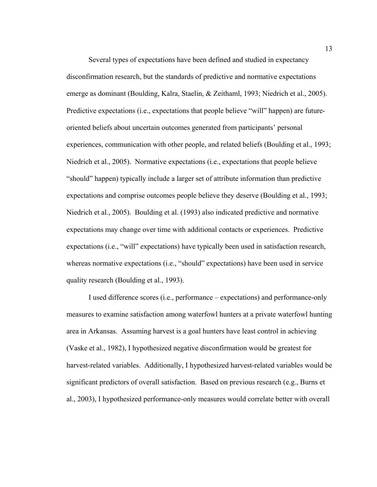Several types of expectations have been defined and studied in expectancy disconfirmation research, but the standards of predictive and normative expectations emerge as dominant (Boulding, Kalra, Staelin, & Zeithaml, 1993; Niedrich et al., 2005). Predictive expectations (i.e., expectations that people believe "will" happen) are futureoriented beliefs about uncertain outcomes generated from participants' personal experiences, communication with other people, and related beliefs (Boulding et al., 1993; Niedrich et al., 2005). Normative expectations (i.e., expectations that people believe "should" happen) typically include a larger set of attribute information than predictive expectations and comprise outcomes people believe they deserve (Boulding et al., 1993; Niedrich et al., 2005). Boulding et al. (1993) also indicated predictive and normative expectations may change over time with additional contacts or experiences. Predictive expectations (i.e., "will" expectations) have typically been used in satisfaction research, whereas normative expectations (i.e., "should" expectations) have been used in service quality research (Boulding et al., 1993).

 I used difference scores (i.e., performance – expectations) and performance-only measures to examine satisfaction among waterfowl hunters at a private waterfowl hunting area in Arkansas. Assuming harvest is a goal hunters have least control in achieving (Vaske et al., 1982), I hypothesized negative disconfirmation would be greatest for harvest-related variables. Additionally, I hypothesized harvest-related variables would be significant predictors of overall satisfaction. Based on previous research (e.g., Burns et al., 2003), I hypothesized performance-only measures would correlate better with overall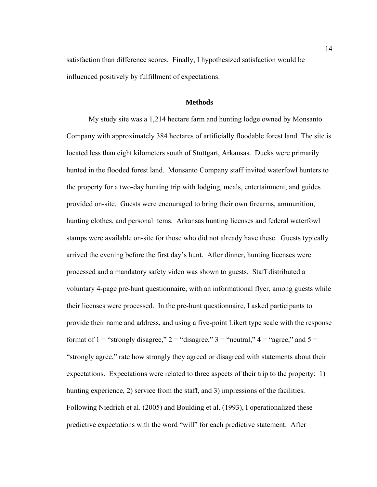satisfaction than difference scores. Finally, I hypothesized satisfaction would be influenced positively by fulfillment of expectations.

## **Methods**

 My study site was a 1,214 hectare farm and hunting lodge owned by Monsanto Company with approximately 384 hectares of artificially floodable forest land. The site is located less than eight kilometers south of Stuttgart, Arkansas. Ducks were primarily hunted in the flooded forest land. Monsanto Company staff invited waterfowl hunters to the property for a two-day hunting trip with lodging, meals, entertainment, and guides provided on-site. Guests were encouraged to bring their own firearms, ammunition, hunting clothes, and personal items. Arkansas hunting licenses and federal waterfowl stamps were available on-site for those who did not already have these. Guests typically arrived the evening before the first day's hunt. After dinner, hunting licenses were processed and a mandatory safety video was shown to guests. Staff distributed a voluntary 4-page pre-hunt questionnaire, with an informational flyer, among guests while their licenses were processed. In the pre-hunt questionnaire, I asked participants to provide their name and address, and using a five-point Likert type scale with the response format of  $1 =$  "strongly disagree,"  $2 =$  "disagree,"  $3 =$  "neutral,"  $4 =$  "agree," and  $5 =$ "strongly agree," rate how strongly they agreed or disagreed with statements about their expectations. Expectations were related to three aspects of their trip to the property: 1) hunting experience, 2) service from the staff, and 3) impressions of the facilities. Following Niedrich et al. (2005) and Boulding et al. (1993), I operationalized these predictive expectations with the word "will" for each predictive statement. After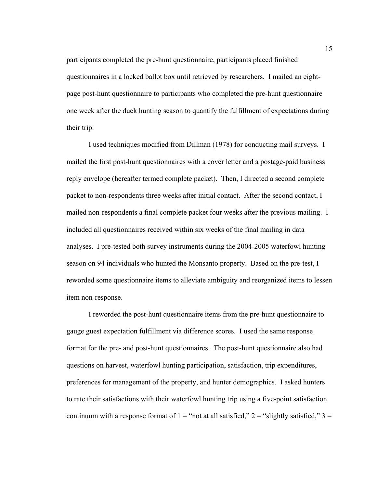participants completed the pre-hunt questionnaire, participants placed finished questionnaires in a locked ballot box until retrieved by researchers. I mailed an eightpage post-hunt questionnaire to participants who completed the pre-hunt questionnaire one week after the duck hunting season to quantify the fulfillment of expectations during their trip.

 I used techniques modified from Dillman (1978) for conducting mail surveys. I mailed the first post-hunt questionnaires with a cover letter and a postage-paid business reply envelope (hereafter termed complete packet). Then, I directed a second complete packet to non-respondents three weeks after initial contact. After the second contact, I mailed non-respondents a final complete packet four weeks after the previous mailing. I included all questionnaires received within six weeks of the final mailing in data analyses. I pre-tested both survey instruments during the 2004-2005 waterfowl hunting season on 94 individuals who hunted the Monsanto property. Based on the pre-test, I reworded some questionnaire items to alleviate ambiguity and reorganized items to lessen item non-response.

 I reworded the post-hunt questionnaire items from the pre-hunt questionnaire to gauge guest expectation fulfillment via difference scores. I used the same response format for the pre- and post-hunt questionnaires. The post-hunt questionnaire also had questions on harvest, waterfowl hunting participation, satisfaction, trip expenditures, preferences for management of the property, and hunter demographics. I asked hunters to rate their satisfactions with their waterfowl hunting trip using a five-point satisfaction continuum with a response format of  $1 =$  "not at all satisfied,"  $2 =$  "slightly satisfied,"  $3 =$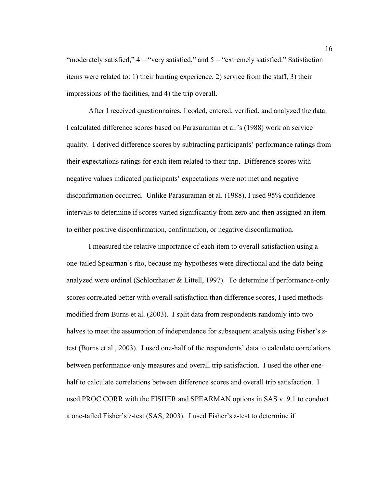"moderately satisfied,"  $4 =$  "very satisfied," and  $5 =$  "extremely satisfied." Satisfaction items were related to: 1) their hunting experience, 2) service from the staff, 3) their impressions of the facilities, and 4) the trip overall.

 After I received questionnaires, I coded, entered, verified, and analyzed the data. I calculated difference scores based on Parasuraman et al.'s (1988) work on service quality. I derived difference scores by subtracting participants' performance ratings from their expectations ratings for each item related to their trip. Difference scores with negative values indicated participants' expectations were not met and negative disconfirmation occurred. Unlike Parasuraman et al. (1988), I used 95% confidence intervals to determine if scores varied significantly from zero and then assigned an item to either positive disconfirmation, confirmation, or negative disconfirmation.

 I measured the relative importance of each item to overall satisfaction using a one-tailed Spearman's rho, because my hypotheses were directional and the data being analyzed were ordinal (Schlotzhauer & Littell, 1997). To determine if performance-only scores correlated better with overall satisfaction than difference scores, I used methods modified from Burns et al. (2003). I split data from respondents randomly into two halves to meet the assumption of independence for subsequent analysis using Fisher's  $z$ test (Burns et al., 2003). I used one-half of the respondents' data to calculate correlations between performance-only measures and overall trip satisfaction. I used the other onehalf to calculate correlations between difference scores and overall trip satisfaction. I used PROC CORR with the FISHER and SPEARMAN options in SAS v. 9.1 to conduct a one-tailed Fisher's *z*-test (SAS, 2003). I used Fisher's *z*-test to determine if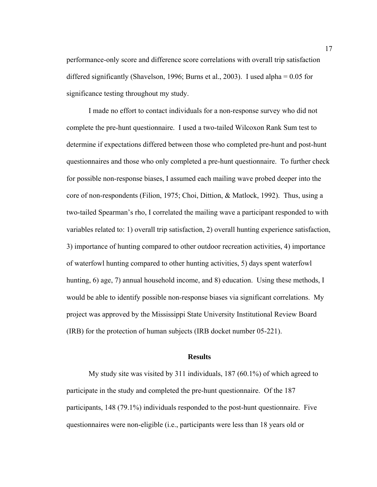performance-only score and difference score correlations with overall trip satisfaction differed significantly (Shavelson, 1996; Burns et al., 2003). I used alpha = 0.05 for significance testing throughout my study.

 I made no effort to contact individuals for a non-response survey who did not complete the pre-hunt questionnaire. I used a two-tailed Wilcoxon Rank Sum test to determine if expectations differed between those who completed pre-hunt and post-hunt questionnaires and those who only completed a pre-hunt questionnaire. To further check for possible non-response biases, I assumed each mailing wave probed deeper into the core of non-respondents (Filion, 1975; Choi, Dittion, & Matlock, 1992). Thus, using a two-tailed Spearman's rho, I correlated the mailing wave a participant responded to with variables related to: 1) overall trip satisfaction, 2) overall hunting experience satisfaction, 3) importance of hunting compared to other outdoor recreation activities, 4) importance of waterfowl hunting compared to other hunting activities, 5) days spent waterfowl hunting, 6) age, 7) annual household income, and 8) education. Using these methods, I would be able to identify possible non-response biases via significant correlations. My project was approved by the Mississippi State University Institutional Review Board (IRB) for the protection of human subjects (IRB docket number 05-221).

## **Results**

 My study site was visited by 311 individuals, 187 (60.1%) of which agreed to participate in the study and completed the pre-hunt questionnaire. Of the 187 participants, 148 (79.1%) individuals responded to the post-hunt questionnaire.Five questionnaires were non-eligible (i.e., participants were less than 18 years old or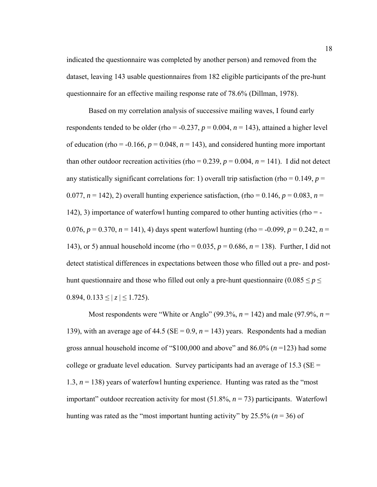indicated the questionnaire was completed by another person) and removed from the dataset, leaving 143 usable questionnaires from 182 eligible participants of the pre-hunt questionnaire for an effective mailing response rate of 78.6% (Dillman, 1978).

 Based on my correlation analysis of successive mailing waves, I found early respondents tended to be older (rho =  $-0.237$ ,  $p = 0.004$ ,  $n = 143$ ), attained a higher level of education (rho =  $-0.166$ ,  $p = 0.048$ ,  $n = 143$ ), and considered hunting more important than other outdoor recreation activities (rho =  $0.239$ ,  $p = 0.004$ ,  $n = 141$ ). I did not detect any statistically significant correlations for: 1) overall trip satisfaction (rho =  $0.149$ ,  $p =$ 0.077,  $n = 142$ ), 2) overall hunting experience satisfaction, (rho = 0.146,  $p = 0.083$ ,  $n =$ 142), 3) importance of waterfowl hunting compared to other hunting activities (rho = - 0.076,  $p = 0.370$ ,  $n = 141$ ), 4) days spent waterfowl hunting (rho = -0.099,  $p = 0.242$ ,  $n =$ 143), or 5) annual household income (rho = 0.035, *p* = 0.686, *n* = 138). Further, I did not detect statistical differences in expectations between those who filled out a pre- and posthunt questionnaire and those who filled out only a pre-hunt questionnaire ( $0.085 \le p \le$ 0.894,  $0.133 \le |z| \le 1.725$ ).

Most respondents were "White or Anglo" (99.3%,  $n = 142$ ) and male (97.9%,  $n =$ 139), with an average age of 44.5 ( $SE = 0.9$ ,  $n = 143$ ) years. Respondents had a median gross annual household income of "\$100,000 and above" and 86.0% (*n* =123) had some college or graduate level education. Survey participants had an average of 15.3 ( $SE =$ 1.3,  $n = 138$ ) years of waterfowl hunting experience. Hunting was rated as the "most" important" outdoor recreation activity for most (51.8%, *n* = 73) participants. Waterfowl hunting was rated as the "most important hunting activity" by 25.5% ( $n = 36$ ) of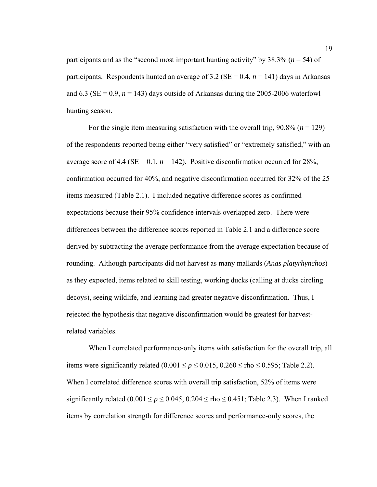participants and as the "second most important hunting activity" by 38.3% (*n* = 54) of participants. Respondents hunted an average of 3.2 ( $SE = 0.4$ ,  $n = 141$ ) days in Arkansas and  $6.3$  (SE = 0.9,  $n = 143$ ) days outside of Arkansas during the 2005-2006 waterfowl hunting season.

For the single item measuring satisfaction with the overall trip,  $90.8\%$  ( $n = 129$ ) of the respondents reported being either "very satisfied" or "extremely satisfied," with an average score of 4.4 ( $SE = 0.1$ ,  $n = 142$ ). Positive disconfirmation occurred for 28%, confirmation occurred for 40%, and negative disconfirmation occurred for 32% of the 25 items measured (Table 2.1). I included negative difference scores as confirmed expectations because their 95% confidence intervals overlapped zero. There were differences between the difference scores reported in Table 2.1 and a difference score derived by subtracting the average performance from the average expectation because of rounding. Although participants did not harvest as many mallards (*Anas platyrhynchos*) as they expected, items related to skill testing, working ducks (calling at ducks circling decoys), seeing wildlife, and learning had greater negative disconfirmation. Thus, I rejected the hypothesis that negative disconfirmation would be greatest for harvestrelated variables.

 When I correlated performance-only items with satisfaction for the overall trip, all items were significantly related  $(0.001 \le p \le 0.015, 0.260 \le \text{rho} \le 0.595$ ; Table 2.2). When I correlated difference scores with overall trip satisfaction, 52% of items were significantly related  $(0.001 \le p \le 0.045, 0.204 \le \text{rho} \le 0.451$ ; Table 2.3). When I ranked items by correlation strength for difference scores and performance-only scores, the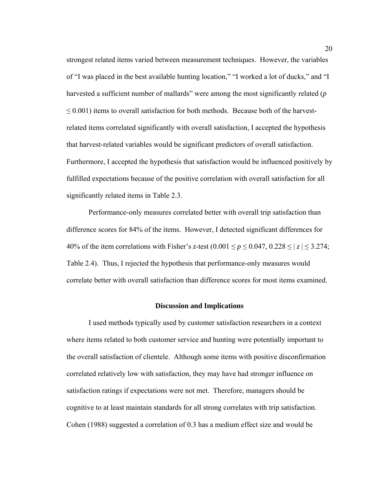strongest related items varied between measurement techniques. However, the variables of "I was placed in the best available hunting location," "I worked a lot of ducks," and "I harvested a sufficient number of mallards" were among the most significantly related (*p*   $\leq$  0.001) items to overall satisfaction for both methods. Because both of the harvestrelated items correlated significantly with overall satisfaction, I accepted the hypothesis that harvest-related variables would be significant predictors of overall satisfaction. Furthermore, I accepted the hypothesis that satisfaction would be influenced positively by fulfilled expectations because of the positive correlation with overall satisfaction for all significantly related items in Table 2.3.

 Performance-only measures correlated better with overall trip satisfaction than difference scores for 84% of the items. However, I detected significant differences for 40% of the item correlations with Fisher's *z*-test  $(0.001 \le p \le 0.047, 0.228 \le |z| \le 3.274;$ Table 2.4). Thus, I rejected the hypothesis that performance-only measures would correlate better with overall satisfaction than difference scores for most items examined.

#### **Discussion and Implications**

I used methods typically used by customer satisfaction researchers in a context where items related to both customer service and hunting were potentially important to the overall satisfaction of clientele. Although some items with positive disconfirmation correlated relatively low with satisfaction, they may have had stronger influence on satisfaction ratings if expectations were not met. Therefore, managers should be cognitive to at least maintain standards for all strong correlates with trip satisfaction. Cohen (1988) suggested a correlation of 0.3 has a medium effect size and would be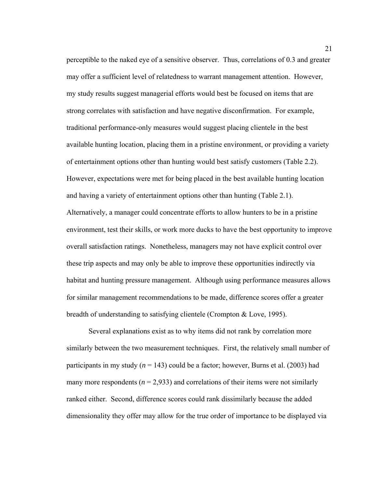perceptible to the naked eye of a sensitive observer. Thus, correlations of 0.3 and greater may offer a sufficient level of relatedness to warrant management attention. However, my study results suggest managerial efforts would best be focused on items that are strong correlates with satisfaction and have negative disconfirmation. For example, traditional performance-only measures would suggest placing clientele in the best available hunting location, placing them in a pristine environment, or providing a variety of entertainment options other than hunting would best satisfy customers (Table 2.2). However, expectations were met for being placed in the best available hunting location and having a variety of entertainment options other than hunting (Table 2.1). Alternatively, a manager could concentrate efforts to allow hunters to be in a pristine environment, test their skills, or work more ducks to have the best opportunity to improve overall satisfaction ratings. Nonetheless, managers may not have explicit control over these trip aspects and may only be able to improve these opportunities indirectly via habitat and hunting pressure management. Although using performance measures allows for similar management recommendations to be made, difference scores offer a greater breadth of understanding to satisfying clientele (Crompton & Love, 1995).

 Several explanations exist as to why items did not rank by correlation more similarly between the two measurement techniques. First, the relatively small number of participants in my study ( $n = 143$ ) could be a factor; however, Burns et al. (2003) had many more respondents ( $n = 2.933$ ) and correlations of their items were not similarly ranked either. Second, difference scores could rank dissimilarly because the added dimensionality they offer may allow for the true order of importance to be displayed via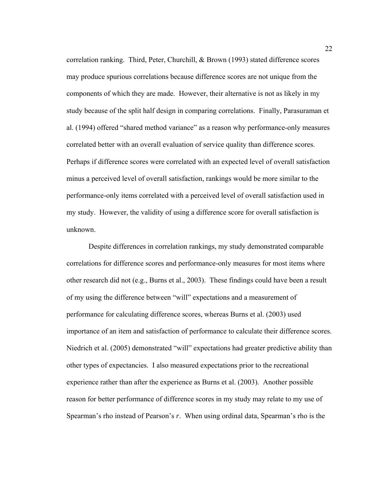correlation ranking. Third, Peter, Churchill, & Brown (1993) stated difference scores may produce spurious correlations because difference scores are not unique from the components of which they are made. However, their alternative is not as likely in my study because of the split half design in comparing correlations. Finally, Parasuraman et al. (1994) offered "shared method variance" as a reason why performance-only measures correlated better with an overall evaluation of service quality than difference scores. Perhaps if difference scores were correlated with an expected level of overall satisfaction minus a perceived level of overall satisfaction, rankings would be more similar to the performance-only items correlated with a perceived level of overall satisfaction used in my study. However, the validity of using a difference score for overall satisfaction is unknown.

 Despite differences in correlation rankings, my study demonstrated comparable correlations for difference scores and performance-only measures for most items where other research did not (e.g., Burns et al., 2003). These findings could have been a result of my using the difference between "will" expectations and a measurement of performance for calculating difference scores, whereas Burns et al. (2003) used importance of an item and satisfaction of performance to calculate their difference scores. Niedrich et al. (2005) demonstrated "will" expectations had greater predictive ability than other types of expectancies. I also measured expectations prior to the recreational experience rather than after the experience as Burns et al. (2003). Another possible reason for better performance of difference scores in my study may relate to my use of Spearman's rho instead of Pearson's *r*. When using ordinal data, Spearman's rho is the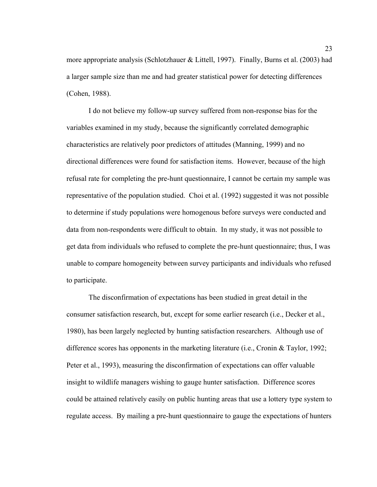more appropriate analysis (Schlotzhauer & Littell, 1997). Finally, Burns et al. (2003) had a larger sample size than me and had greater statistical power for detecting differences (Cohen, 1988).

 I do not believe my follow-up survey suffered from non-response bias for the variables examined in my study, because the significantly correlated demographic characteristics are relatively poor predictors of attitudes (Manning, 1999) and no directional differences were found for satisfaction items. However, because of the high refusal rate for completing the pre-hunt questionnaire, I cannot be certain my sample was representative of the population studied. Choi et al. (1992) suggested it was not possible to determine if study populations were homogenous before surveys were conducted and data from non-respondents were difficult to obtain. In my study, it was not possible to get data from individuals who refused to complete the pre-hunt questionnaire; thus, I was unable to compare homogeneity between survey participants and individuals who refused to participate.

 The disconfirmation of expectations has been studied in great detail in the consumer satisfaction research, but, except for some earlier research (i.e., Decker et al., 1980), has been largely neglected by hunting satisfaction researchers. Although use of difference scores has opponents in the marketing literature (i.e., Cronin & Taylor, 1992; Peter et al., 1993), measuring the disconfirmation of expectations can offer valuable insight to wildlife managers wishing to gauge hunter satisfaction. Difference scores could be attained relatively easily on public hunting areas that use a lottery type system to regulate access. By mailing a pre-hunt questionnaire to gauge the expectations of hunters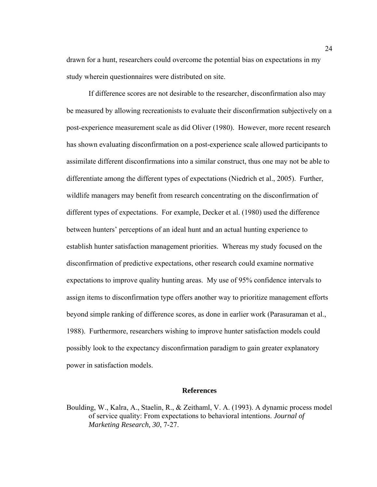drawn for a hunt, researchers could overcome the potential bias on expectations in my study wherein questionnaires were distributed on site.

 If difference scores are not desirable to the researcher, disconfirmation also may be measured by allowing recreationists to evaluate their disconfirmation subjectively on a post-experience measurement scale as did Oliver (1980). However, more recent research has shown evaluating disconfirmation on a post-experience scale allowed participants to assimilate different disconfirmations into a similar construct, thus one may not be able to differentiate among the different types of expectations (Niedrich et al., 2005). Further, wildlife managers may benefit from research concentrating on the disconfirmation of different types of expectations. For example, Decker et al. (1980) used the difference between hunters' perceptions of an ideal hunt and an actual hunting experience to establish hunter satisfaction management priorities. Whereas my study focused on the disconfirmation of predictive expectations, other research could examine normative expectations to improve quality hunting areas. My use of 95% confidence intervals to assign items to disconfirmation type offers another way to prioritize management efforts beyond simple ranking of difference scores, as done in earlier work (Parasuraman et al., 1988). Furthermore, researchers wishing to improve hunter satisfaction models could possibly look to the expectancy disconfirmation paradigm to gain greater explanatory power in satisfaction models.

# **References**

Boulding, W., Kalra, A., Staelin, R., & Zeithaml, V. A. (1993). A dynamic process model of service quality: From expectations to behavioral intentions. *Journal of Marketing Research, 30*, 7-27.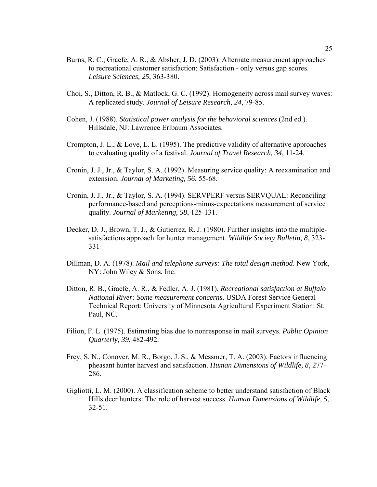- Burns, R. C., Graefe, A. R., & Absher, J. D. (2003). Alternate measurement approaches to recreational customer satisfaction: Satisfaction - only versus gap scores. *Leisure Sciences, 25*, 363-380.
- Choi, S., Ditton, R. B., & Matlock, G. C. (1992). Homogeneity across mail survey waves: A replicated study. *Journal of Leisure Research, 24*, 79-85.
- Cohen, J. (1988). *Statistical power analysis for the behavioral sciences* (2nd ed.). Hillsdale, NJ: Lawrence Erlbaum Associates.
- Crompton, J. L., & Love, L. L. (1995). The predictive validity of alternative approaches to evaluating quality of a festival. *Journal of Travel Research, 34*, 11-24.
- Cronin, J. J., Jr., & Taylor, S. A. (1992). Measuring service quality: A reexamination and extension. *Journal of Marketing, 56*, 55-68.
- Cronin, J. J., Jr., & Taylor, S. A. (1994). SERVPERF versus SERVQUAL: Reconciling performance-based and perceptions-minus-expectations measurement of service quality. *Journal of Marketing, 58*, 125-131.
- Decker, D. J., Brown, T. J., & Gutierrez, R. J. (1980). Further insights into the multiplesatisfactions approach for hunter management. *Wildlife Society Bulletin, 8*, 323- 331
- Dillman, D. A. (1978). *Mail and telephone surveys: The total design method*. New York, NY: John Wiley & Sons, Inc.
- Ditton, R. B., Graefe, A. R., & Fedler, A. J. (1981). *Recreational satisfaction at Buffalo National River: Some measurement concerns*. USDA Forest Service General Technical Report: University of Minnesota Agricultural Experiment Station: St. Paul, NC.
- Filion, F. L. (1975). Estimating bias due to nonresponse in mail surveys. *Public Opinion Quarterly, 39*, 482-492.
- Frey, S. N., Conover, M. R., Borgo, J. S., & Messmer, T. A. (2003). Factors influencing pheasant hunter harvest and satisfaction. *Human Dimensions of Wildlife, 8*, 277- 286.
- Gigliotti, L. M. (2000). A classification scheme to better understand satisfaction of Black Hills deer hunters: The role of harvest success. *Human Dimensions of Wildlife, 5*, 32-51.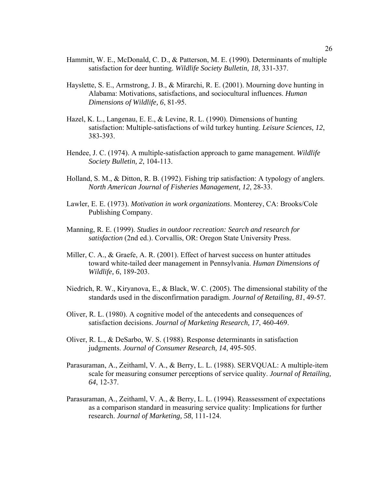- Hammitt, W. E., McDonald, C. D., & Patterson, M. E. (1990). Determinants of multiple satisfaction for deer hunting. *Wildlife Society Bulletin, 18*, 331-337.
- Hayslette, S. E., Armstrong, J. B., & Mirarchi, R. E. (2001). Mourning dove hunting in Alabama: Motivations, satisfactions, and sociocultural influences. *Human Dimensions of Wildlife, 6*, 81-95.
- Hazel, K. L., Langenau, E. E., & Levine, R. L. (1990). Dimensions of hunting satisfaction: Multiple-satisfactions of wild turkey hunting. *Leisure Sciences, 12*, 383-393.
- Hendee, J. C. (1974). A multiple-satisfaction approach to game management. *Wildlife Society Bulletin, 2*, 104-113.
- Holland, S. M., & Ditton, R. B. (1992). Fishing trip satisfaction: A typology of anglers. *North American Journal of Fisheries Management, 12*, 28-33.
- Lawler, E. E. (1973). *Motivation in work organizations*. Monterey, CA: Brooks/Cole Publishing Company.
- Manning, R. E. (1999). *Studies in outdoor recreation: Search and research for satisfaction* (2nd ed.). Corvallis, OR: Oregon State University Press.
- Miller, C. A., & Graefe, A. R. (2001). Effect of harvest success on hunter attitudes toward white-tailed deer management in Pennsylvania. *Human Dimensions of Wildlife, 6*, 189-203.
- Niedrich, R. W., Kiryanova, E., & Black, W. C. (2005). The dimensional stability of the standards used in the disconfirmation paradigm. *Journal of Retailing, 81*, 49-57.
- Oliver, R. L. (1980). A cognitive model of the antecedents and consequences of satisfaction decisions. *Journal of Marketing Research, 17*, 460-469.
- Oliver, R. L., & DeSarbo, W. S. (1988). Response determinants in satisfaction judgments. *Journal of Consumer Research, 14*, 495-505.
- Parasuraman, A., Zeithaml, V. A., & Berry, L. L. (1988). SERVQUAL: A multiple-item scale for measuring consumer perceptions of service quality. *Journal of Retailing, 64*, 12-37.
- Parasuraman, A., Zeithaml, V. A., & Berry, L. L. (1994). Reassessment of expectations as a comparison standard in measuring service quality: Implications for further research. *Journal of Marketing, 58*, 111-124.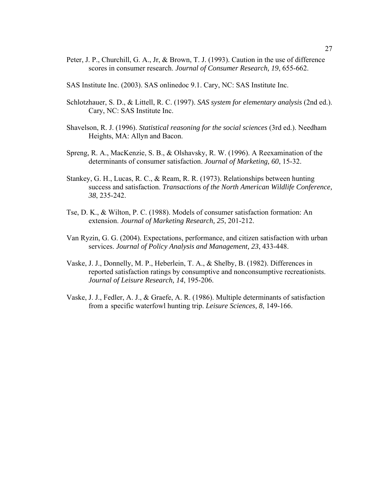- Peter, J. P., Churchill, G. A., Jr, & Brown, T. J. (1993). Caution in the use of difference scores in consumer research. *Journal of Consumer Research, 19*, 655-662.
- SAS Institute Inc. (2003). SAS onlinedoc 9.1. Cary, NC: SAS Institute Inc.
- Schlotzhauer, S. D., & Littell, R. C. (1997). *SAS system for elementary analysis* (2nd ed.). Cary, NC: SAS Institute Inc.
- Shavelson, R. J. (1996). *Statistical reasoning for the social sciences* (3rd ed.). Needham Heights, MA: Allyn and Bacon.
- Spreng, R. A., MacKenzie, S. B., & Olshavsky, R. W. (1996). A Reexamination of the determinants of consumer satisfaction. *Journal of Marketing, 60*, 15-32.
- Stankey, G. H., Lucas, R. C., & Ream, R. R. (1973). Relationships between hunting success and satisfaction. *Transactions of the North American Wildlife Conference, 38*, 235-242.
- Tse, D. K., & Wilton, P. C. (1988). Models of consumer satisfaction formation: An extension. *Journal of Marketing Research, 25*, 201-212.
- Van Ryzin, G. G. (2004). Expectations, performance, and citizen satisfaction with urban services. *Journal of Policy Analysis and Management, 23*, 433-448.
- Vaske, J. J., Donnelly, M. P., Heberlein, T. A., & Shelby, B. (1982). Differences in reported satisfaction ratings by consumptive and nonconsumptive recreationists. *Journal of Leisure Research, 14*, 195-206.
- Vaske, J. J., Fedler, A. J., & Graefe, A. R. (1986). Multiple determinants of satisfaction from a specific waterfowl hunting trip. *Leisure Sciences, 8*, 149-166.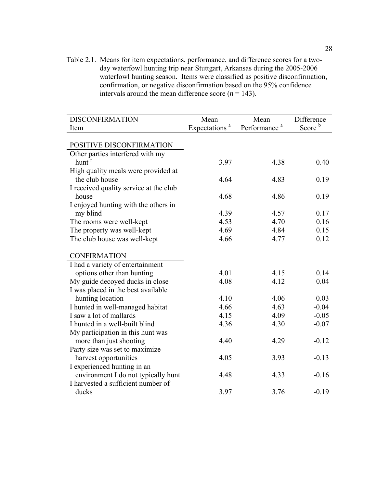Table 2.1. Means for item expectations, performance, and difference scores for a twoday waterfowl hunting trip near Stuttgart, Arkansas during the 2005-2006 waterfowl hunting season. Items were classified as positive disconfirmation, confirmation, or negative disconfirmation based on the 95% confidence intervals around the mean difference score  $(n = 143)$ .

| <b>DISCONFIRMATION</b>                 | Mean                      | Mean                     | Difference         |
|----------------------------------------|---------------------------|--------------------------|--------------------|
| Item                                   | Expectations <sup>a</sup> | Performance <sup>a</sup> | Score <sup>b</sup> |
|                                        |                           |                          |                    |
| POSITIVE DISCONFIRMATION               |                           |                          |                    |
| Other parties interfered with my       |                           |                          |                    |
| hunt <sup>r</sup>                      | 3.97                      | 4.38                     | 0.40               |
| High quality meals were provided at    |                           |                          |                    |
| the club house                         | 4.64                      | 4.83                     | 0.19               |
| I received quality service at the club |                           |                          |                    |
| house                                  | 4.68                      | 4.86                     | 0.19               |
| I enjoyed hunting with the others in   |                           |                          |                    |
| my blind                               | 4.39                      | 4.57                     | 0.17               |
| The rooms were well-kept               | 4.53                      | 4.70                     | 0.16               |
| The property was well-kept             | 4.69                      | 4.84                     | 0.15               |
| The club house was well-kept           | 4.66                      | 4.77                     | 0.12               |
|                                        |                           |                          |                    |
| <b>CONFIRMATION</b>                    |                           |                          |                    |
| I had a variety of entertainment       |                           |                          |                    |
| options other than hunting             | 4.01                      | 4.15                     | 0.14               |
| My guide decoyed ducks in close        | 4.08                      | 4.12                     | 0.04               |
| I was placed in the best available     |                           |                          |                    |
| hunting location                       | 4.10                      | 4.06                     | $-0.03$            |
| I hunted in well-managed habitat       | 4.66                      | 4.63                     | $-0.04$            |
| I saw a lot of mallards                | 4.15                      | 4.09                     | $-0.05$            |
| I hunted in a well-built blind         | 4.36                      | 4.30                     | $-0.07$            |
| My participation in this hunt was      |                           |                          |                    |
| more than just shooting                | 4.40                      | 4.29                     | $-0.12$            |
| Party size was set to maximize         |                           |                          |                    |
| harvest opportunities                  | 4.05                      | 3.93                     | $-0.13$            |
| I experienced hunting in an            |                           |                          |                    |
| environment I do not typically hunt    | 4.48                      | 4.33                     | $-0.16$            |
| I harvested a sufficient number of     |                           |                          |                    |
| ducks                                  | 3.97                      | 3.76                     | $-0.19$            |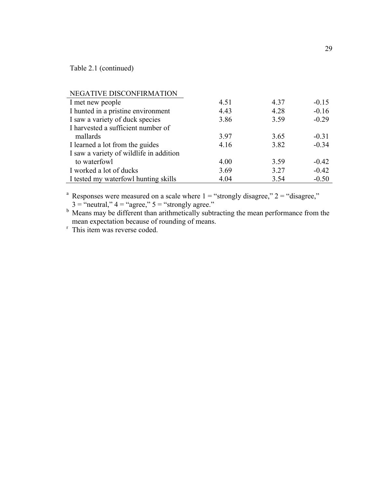Table 2.1 (continued)

| NEGATIVE DISCONFIRMATION                |      |      |         |
|-----------------------------------------|------|------|---------|
| I met new people                        | 4.51 | 4.37 | $-0.15$ |
| I hunted in a pristine environment      | 4.43 | 4.28 | $-0.16$ |
| I saw a variety of duck species         | 3.86 | 3.59 | $-0.29$ |
| I harvested a sufficient number of      |      |      |         |
| mallards                                | 3.97 | 3.65 | $-0.31$ |
| I learned a lot from the guides         | 4.16 | 3.82 | $-0.34$ |
| I saw a variety of wildlife in addition |      |      |         |
| to waterfowl                            | 4.00 | 3.59 | $-0.42$ |
| I worked a lot of ducks                 | 3.69 | 3.27 | $-0.42$ |
| I tested my waterfowl hunting skills    | 4.04 | 3.54 | $-0.50$ |

<sup>a</sup> Responses were measured on a scale where  $1 =$  "strongly disagree,"  $2 =$  "disagree,"

 $3 =$  "neutral,"  $4 =$  "agree,"  $5 =$  "strongly agree."<br>
Means may be different than arithmetically subtracting the mean performance from the mean expectation because of rounding of means.<br><sup>r</sup> This item was reverse coded.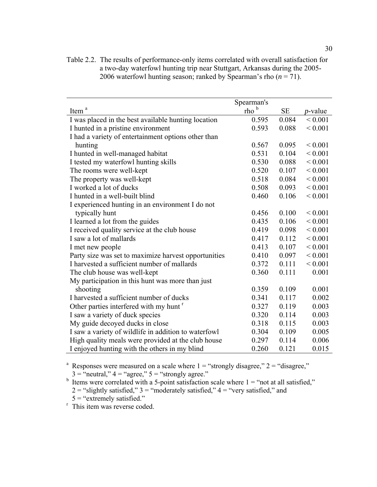|                                                      | Spearman's       |           |                 |
|------------------------------------------------------|------------------|-----------|-----------------|
| Item <sup>a</sup>                                    | rho <sup>b</sup> | <b>SE</b> | <i>p</i> -value |
| I was placed in the best available hunting location  | 0.595            | 0.084     | ${}< 0.001$     |
| I hunted in a pristine environment                   | 0.593            | 0.088     | ${}< 0.001$     |
| I had a variety of entertainment options other than  |                  |           |                 |
| hunting                                              | 0.567            | 0.095     | ${}< 0.001$     |
| I hunted in well-managed habitat                     | 0.531            | 0.104     | ${}< 0.001$     |
| I tested my waterfowl hunting skills                 | 0.530            | 0.088     | ${}< 0.001$     |
| The rooms were well-kept                             | 0.520            | 0.107     | ${}< 0.001$     |
| The property was well-kept                           | 0.518            | 0.084     | ${}< 0.001$     |
| I worked a lot of ducks                              | 0.508            | 0.093     | ${}< 0.001$     |
| I hunted in a well-built blind                       | 0.460            | 0.106     | ${}< 0.001$     |
| I experienced hunting in an environment I do not     |                  |           |                 |
| typically hunt                                       | 0.456            | 0.100     | ${}< 0.001$     |
| I learned a lot from the guides                      | 0.435            | 0.106     | ${}< 0.001$     |
| I received quality service at the club house         | 0.419            | 0.098     | ${}< 0.001$     |
| I saw a lot of mallards                              | 0.417            | 0.112     | ${}< 0.001$     |
| I met new people                                     | 0.413            | 0.107     | ${}< 0.001$     |
| Party size was set to maximize harvest opportunities | 0.410            | 0.097     | ${}< 0.001$     |
| I harvested a sufficient number of mallards          | 0.372            | 0.111     | ${}< 0.001$     |
| The club house was well-kept                         | 0.360            | 0.111     | 0.001           |
| My participation in this hunt was more than just     |                  |           |                 |
| shooting                                             | 0.359            | 0.109     | 0.001           |
| I harvested a sufficient number of ducks             | 0.341            | 0.117     | 0.002           |
| Other parties interfered with my hunt <sup>r</sup>   | 0.327            | 0.119     | 0.003           |
| I saw a variety of duck species                      | 0.320            | 0.114     | 0.003           |
| My guide decoyed ducks in close                      | 0.318            | 0.115     | 0.003           |
| I saw a variety of wildlife in addition to waterfowl | 0.304            | 0.109     | 0.005           |
| High quality meals were provided at the club house   | 0.297            | 0.114     | 0.006           |
| I enjoyed hunting with the others in my blind        | 0.260            | 0.121     | 0.015           |

Table 2.2. The results of performance-only items correlated with overall satisfaction for a two-day waterfowl hunting trip near Stuttgart, Arkansas during the 2005- 2006 waterfowl hunting season; ranked by Spearman's rho  $(n = 71)$ .

<sup>a</sup> Responses were measured on a scale where  $1 =$  "strongly disagree,"  $2 =$  "disagree,"  $3 =$  "neutral,"  $4 =$  "agree,"  $5 =$  "strongly agree."

<sup>b</sup> Items were correlated with a 5-point satisfaction scale where  $1 =$  "not at all satisfied,"

 $2 =$  "slightly satisfied,"  $3 =$  "moderately satisfied,"  $4 =$  "very satisfied," and

 $5 =$  "extremely satisfied."

<sup>r</sup> This item was reverse coded.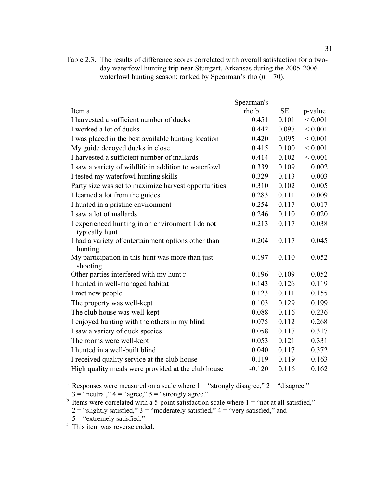|                                                                    | Spearman's |           |             |
|--------------------------------------------------------------------|------------|-----------|-------------|
| Item a                                                             | rho b      | <b>SE</b> | p-value     |
| I harvested a sufficient number of ducks                           | 0.451      | 0.101     | ${}< 0.001$ |
| I worked a lot of ducks                                            | 0.442      | 0.097     | ${}< 0.001$ |
| I was placed in the best available hunting location                | 0.420      | 0.095     | ${}< 0.001$ |
| My guide decoyed ducks in close                                    | 0.415      | 0.100     | ${}< 0.001$ |
| I harvested a sufficient number of mallards                        | 0.414      | 0.102     | < 0.001     |
| I saw a variety of wildlife in addition to waterfowl               | 0.339      | 0.109     | 0.002       |
| I tested my waterfowl hunting skills                               | 0.329      | 0.113     | 0.003       |
| Party size was set to maximize harvest opportunities               | 0.310      | 0.102     | 0.005       |
| I learned a lot from the guides                                    | 0.283      | 0.111     | 0.009       |
| I hunted in a pristine environment                                 | 0.254      | 0.117     | 0.017       |
| I saw a lot of mallards                                            | 0.246      | 0.110     | 0.020       |
| I experienced hunting in an environment I do not<br>typically hunt | 0.213      | 0.117     | 0.038       |
| I had a variety of entertainment options other than<br>hunting     | 0.204      | 0.117     | 0.045       |
| My participation in this hunt was more than just<br>shooting       | 0.197      | 0.110     | 0.052       |
| Other parties interfered with my hunt r                            | 0.196      | 0.109     | 0.052       |
| I hunted in well-managed habitat                                   | 0.143      | 0.126     | 0.119       |
| I met new people                                                   | 0.123      | 0.111     | 0.155       |
| The property was well-kept                                         | 0.103      | 0.129     | 0.199       |
| The club house was well-kept                                       | 0.088      | 0.116     | 0.236       |
| I enjoyed hunting with the others in my blind                      | 0.075      | 0.112     | 0.268       |
| I saw a variety of duck species                                    | 0.058      | 0.117     | 0.317       |
| The rooms were well-kept                                           | 0.053      | 0.121     | 0.331       |
| I hunted in a well-built blind                                     | 0.040      | 0.117     | 0.372       |
| I received quality service at the club house                       | $-0.119$   | 0.119     | 0.163       |
| High quality meals were provided at the club house                 | $-0.120$   | 0.116     | 0.162       |

Table 2.3. The results of difference scores correlated with overall satisfaction for a twoday waterfowl hunting trip near Stuttgart, Arkansas during the 2005-2006 waterfowl hunting season; ranked by Spearman's rho  $(n = 70)$ .

<sup>a</sup> Responses were measured on a scale where  $1 =$  "strongly disagree,"  $2 =$  "disagree,"

 $3 =$  "neutral,"  $4 =$  "agree,"  $5 =$  "strongly agree."<br>
Items were correlated with a 5-point satisfaction scale where  $1 =$  "not at all satisfied,"

2 = "slightly satisfied,"  $3$  = "moderately satisfied,"  $4$  = "very satisfied," and

 $5 =$  "extremely satisfied."

<sup>r</sup> This item was reverse coded.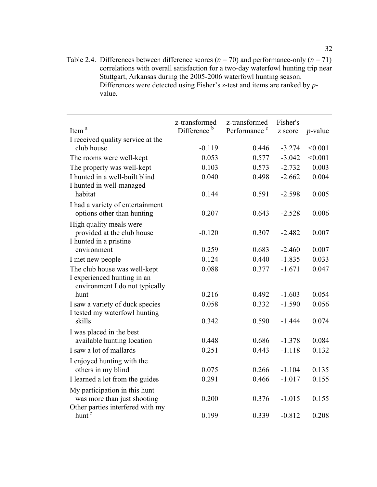Table 2.4. Differences between difference scores  $(n = 70)$  and performance-only  $(n = 71)$ correlations with overall satisfaction for a two-day waterfowl hunting trip near Stuttgart, Arkansas during the 2005-2006 waterfowl hunting season. Differences were detected using Fisher's *z*-test and items are ranked by *p*value.

|                                   | z-transformed           | z-transformed            | Fisher's |                 |
|-----------------------------------|-------------------------|--------------------------|----------|-----------------|
| Item <sup>a</sup>                 | Difference <sup>b</sup> | Performance <sup>c</sup> | z score  | <i>p</i> -value |
| I received quality service at the |                         |                          |          |                 |
| club house                        | $-0.119$                | 0.446                    | $-3.274$ | < 0.001         |
| The rooms were well-kept          | 0.053                   | 0.577                    | $-3.042$ | < 0.001         |
| The property was well-kept        | 0.103                   | 0.573                    | $-2.732$ | 0.003           |
| I hunted in a well-built blind    | 0.040                   | 0.498                    | $-2.662$ | 0.004           |
| I hunted in well-managed          |                         |                          |          |                 |
| habitat                           | 0.144                   | 0.591                    | $-2.598$ | 0.005           |
| I had a variety of entertainment  |                         |                          |          |                 |
| options other than hunting        | 0.207                   | 0.643                    | $-2.528$ | 0.006           |
| High quality meals were           |                         |                          |          |                 |
| provided at the club house        | $-0.120$                | 0.307                    | $-2.482$ | 0.007           |
| I hunted in a pristine            |                         |                          |          |                 |
| environment                       | 0.259                   | 0.683                    | $-2.460$ | 0.007           |
| I met new people                  | 0.124                   | 0.440                    | $-1.835$ | 0.033           |
| The club house was well-kept      | 0.088                   | 0.377                    | $-1.671$ | 0.047           |
| I experienced hunting in an       |                         |                          |          |                 |
| environment I do not typically    |                         |                          |          |                 |
| hunt                              | 0.216                   | 0.492                    | $-1.603$ | 0.054           |
| I saw a variety of duck species   | 0.058                   | 0.332                    | $-1.590$ | 0.056           |
| I tested my waterfowl hunting     |                         |                          |          |                 |
| skills                            | 0.342                   | 0.590                    | $-1.444$ | 0.074           |
| I was placed in the best          |                         |                          |          |                 |
| available hunting location        | 0.448                   | 0.686                    | $-1.378$ | 0.084           |
| I saw a lot of mallards           | 0.251                   | 0.443                    | $-1.118$ | 0.132           |
| I enjoyed hunting with the        |                         |                          |          |                 |
| others in my blind                | 0.075                   | 0.266                    | $-1.104$ | 0.135           |
| I learned a lot from the guides   | 0.291                   | 0.466                    | $-1.017$ | 0.155           |
| My participation in this hunt     |                         |                          |          |                 |
| was more than just shooting       | 0.200                   | 0.376                    | $-1.015$ | 0.155           |
| Other parties interfered with my  |                         |                          |          |                 |
| hunt <sup>r</sup>                 | 0.199                   | 0.339                    | $-0.812$ | 0.208           |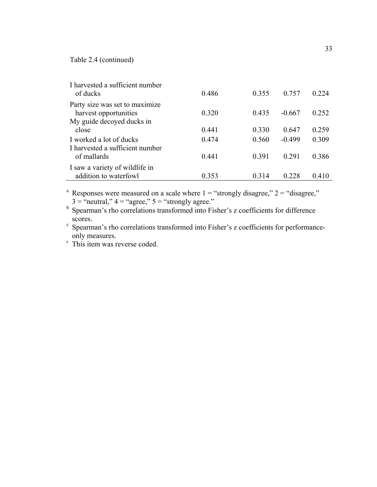Table 2.4 (continued)

| I harvested a sufficient number<br>of ducks             | 0.486 | 0.355 | 0.757    | 0.224 |
|---------------------------------------------------------|-------|-------|----------|-------|
| Party size was set to maximize<br>harvest opportunities | 0.320 | 0.435 | $-0.667$ | 0.252 |
| My guide decoved ducks in                               |       |       |          |       |
| close                                                   | 0.441 | 0.330 | 0.647    | 0.259 |
| I worked a lot of ducks                                 | 0.474 | 0.560 | $-0.499$ | 0.309 |
| I harvested a sufficient number<br>of mallards          | 0.441 | 0.391 | 0.291    | 0.386 |
| I saw a variety of wildlife in                          |       |       |          |       |
| addition to waterfowl                                   | 0.353 | 0.314 | 0 228    | 0.410 |

<sup>a</sup> Responses were measured on a scale where  $1 =$  "strongly disagree,"  $2 =$  "disagree,"  $3 =$  "neutral,"  $4 =$  "agree,"  $5 =$  "strongly agree."

b Spearman's rho correlations transformed into Fisher's z coefficients for difference

scores.<br>
c Spearman's rho correlations transformed into Fisher's z coefficients for performance-<br>
only measures.

 $\overline{\text{r}}$  This item was reverse coded.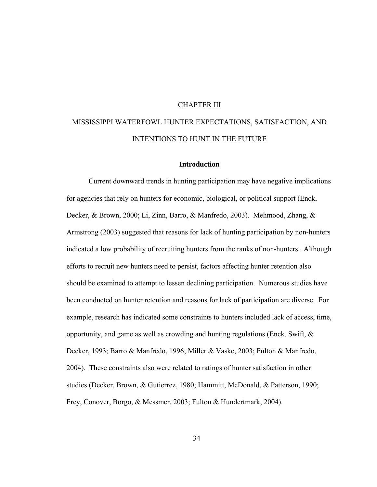# CHAPTER III

# MISSISSIPPI WATERFOWL HUNTER EXPECTATIONS, SATISFACTION, AND INTENTIONS TO HUNT IN THE FUTURE

#### **Introduction**

Current downward trends in hunting participation may have negative implications for agencies that rely on hunters for economic, biological, or political support (Enck, Decker, & Brown, 2000; Li, Zinn, Barro, & Manfredo, 2003). Mehmood, Zhang, & Armstrong (2003) suggested that reasons for lack of hunting participation by non-hunters indicated a low probability of recruiting hunters from the ranks of non-hunters. Although efforts to recruit new hunters need to persist, factors affecting hunter retention also should be examined to attempt to lessen declining participation. Numerous studies have been conducted on hunter retention and reasons for lack of participation are diverse. For example, research has indicated some constraints to hunters included lack of access, time, opportunity, and game as well as crowding and hunting regulations (Enck, Swift,  $\&$ Decker, 1993; Barro & Manfredo, 1996; Miller & Vaske, 2003; Fulton & Manfredo, 2004). These constraints also were related to ratings of hunter satisfaction in other studies (Decker, Brown, & Gutierrez, 1980; Hammitt, McDonald, & Patterson, 1990; Frey, Conover, Borgo, & Messmer, 2003; Fulton & Hundertmark, 2004).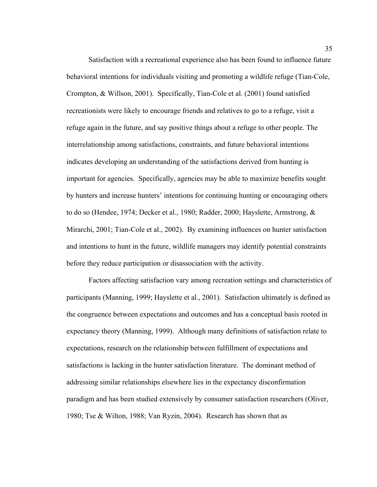Satisfaction with a recreational experience also has been found to influence future behavioral intentions for individuals visiting and promoting a wildlife refuge (Tian-Cole, Crompton, & Willson, 2001). Specifically, Tian-Cole et al. (2001) found satisfied recreationists were likely to encourage friends and relatives to go to a refuge, visit a refuge again in the future, and say positive things about a refuge to other people. The interrelationship among satisfactions, constraints, and future behavioral intentions indicates developing an understanding of the satisfactions derived from hunting is important for agencies. Specifically, agencies may be able to maximize benefits sought by hunters and increase hunters' intentions for continuing hunting or encouraging others to do so (Hendee, 1974; Decker et al., 1980; Radder, 2000; Hayslette, Armstrong, & Mirarchi, 2001; Tian-Cole et al., 2002). By examining influences on hunter satisfaction and intentions to hunt in the future, wildlife managers may identify potential constraints before they reduce participation or disassociation with the activity.

Factors affecting satisfaction vary among recreation settings and characteristics of participants (Manning, 1999; Hayslette et al., 2001). Satisfaction ultimately is defined as the congruence between expectations and outcomes and has a conceptual basis rooted in expectancy theory (Manning, 1999). Although many definitions of satisfaction relate to expectations, research on the relationship between fulfillment of expectations and satisfactions is lacking in the hunter satisfaction literature. The dominant method of addressing similar relationships elsewhere lies in the expectancy disconfirmation paradigm and has been studied extensively by consumer satisfaction researchers (Oliver, 1980; Tse & Wilton, 1988; Van Ryzin, 2004). Research has shown that as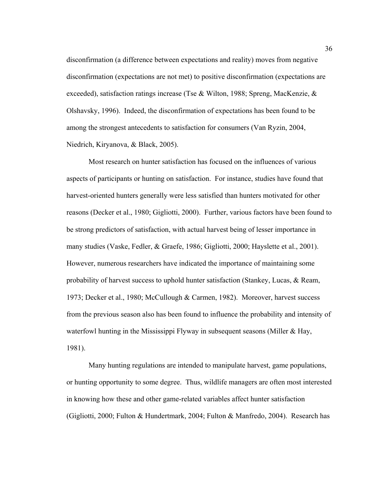disconfirmation (a difference between expectations and reality) moves from negative disconfirmation (expectations are not met) to positive disconfirmation (expectations are exceeded), satisfaction ratings increase (Tse & Wilton, 1988; Spreng, MacKenzie, & Olshavsky, 1996). Indeed, the disconfirmation of expectations has been found to be among the strongest antecedents to satisfaction for consumers (Van Ryzin, 2004, Niedrich, Kiryanova, & Black, 2005).

Most research on hunter satisfaction has focused on the influences of various aspects of participants or hunting on satisfaction. For instance, studies have found that harvest-oriented hunters generally were less satisfied than hunters motivated for other reasons (Decker et al., 1980; Gigliotti, 2000). Further, various factors have been found to be strong predictors of satisfaction, with actual harvest being of lesser importance in many studies (Vaske, Fedler, & Graefe, 1986; Gigliotti, 2000; Hayslette et al., 2001). However, numerous researchers have indicated the importance of maintaining some probability of harvest success to uphold hunter satisfaction (Stankey, Lucas, & Ream, 1973; Decker et al., 1980; McCullough & Carmen, 1982). Moreover, harvest success from the previous season also has been found to influence the probability and intensity of waterfowl hunting in the Mississippi Flyway in subsequent seasons (Miller  $& Hay$ , 1981).

Many hunting regulations are intended to manipulate harvest, game populations, or hunting opportunity to some degree. Thus, wildlife managers are often most interested in knowing how these and other game-related variables affect hunter satisfaction (Gigliotti, 2000; Fulton & Hundertmark, 2004; Fulton & Manfredo, 2004). Research has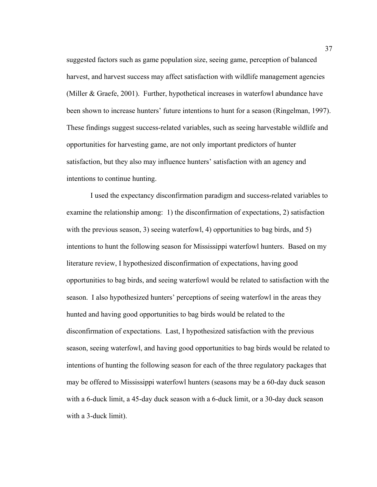suggested factors such as game population size, seeing game, perception of balanced harvest, and harvest success may affect satisfaction with wildlife management agencies (Miller & Graefe, 2001). Further, hypothetical increases in waterfowl abundance have been shown to increase hunters' future intentions to hunt for a season (Ringelman, 1997). These findings suggest success-related variables, such as seeing harvestable wildlife and opportunities for harvesting game, are not only important predictors of hunter satisfaction, but they also may influence hunters' satisfaction with an agency and intentions to continue hunting.

 I used the expectancy disconfirmation paradigm and success-related variables to examine the relationship among: 1) the disconfirmation of expectations, 2) satisfaction with the previous season, 3) seeing waterfowl, 4) opportunities to bag birds, and 5) intentions to hunt the following season for Mississippi waterfowl hunters. Based on my literature review, I hypothesized disconfirmation of expectations, having good opportunities to bag birds, and seeing waterfowl would be related to satisfaction with the season. I also hypothesized hunters' perceptions of seeing waterfowl in the areas they hunted and having good opportunities to bag birds would be related to the disconfirmation of expectations. Last, I hypothesized satisfaction with the previous season, seeing waterfowl, and having good opportunities to bag birds would be related to intentions of hunting the following season for each of the three regulatory packages that may be offered to Mississippi waterfowl hunters (seasons may be a 60-day duck season with a 6-duck limit, a 45-day duck season with a 6-duck limit, or a 30-day duck season with a 3-duck limit).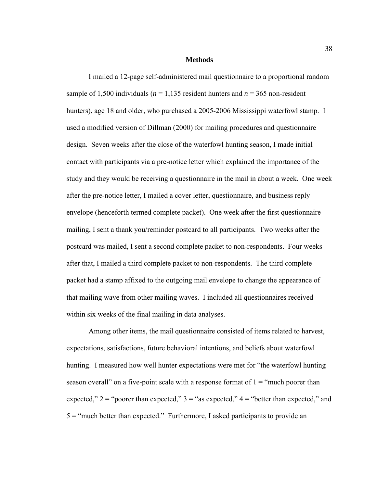#### **Methods**

 I mailed a 12-page self-administered mail questionnaire to a proportional random sample of 1,500 individuals ( $n = 1,135$  resident hunters and  $n = 365$  non-resident hunters), age 18 and older, who purchased a 2005-2006 Mississippi waterfowl stamp. I used a modified version of Dillman (2000) for mailing procedures and questionnaire design. Seven weeks after the close of the waterfowl hunting season, I made initial contact with participants via a pre-notice letter which explained the importance of the study and they would be receiving a questionnaire in the mail in about a week. One week after the pre-notice letter, I mailed a cover letter, questionnaire, and business reply envelope (henceforth termed complete packet). One week after the first questionnaire mailing, I sent a thank you/reminder postcard to all participants. Two weeks after the postcard was mailed, I sent a second complete packet to non-respondents. Four weeks after that, I mailed a third complete packet to non-respondents. The third complete packet had a stamp affixed to the outgoing mail envelope to change the appearance of that mailing wave from other mailing waves. I included all questionnaires received within six weeks of the final mailing in data analyses.

 Among other items, the mail questionnaire consisted of items related to harvest, expectations, satisfactions, future behavioral intentions, and beliefs about waterfowl hunting. I measured how well hunter expectations were met for "the waterfowl hunting season overall" on a five-point scale with a response format of  $1 =$  "much poorer than expected,"  $2 =$  "poorer than expected,"  $3 =$  "as expected,"  $4 =$  "better than expected," and 5 = "much better than expected." Furthermore, I asked participants to provide an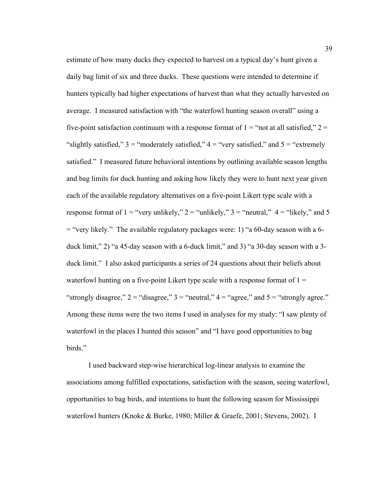estimate of how many ducks they expected to harvest on a typical day's hunt given a daily bag limit of six and three ducks. These questions were intended to determine if hunters typically had higher expectations of harvest than what they actually harvested on average. I measured satisfaction with "the waterfowl hunting season overall" using a five-point satisfaction continuum with a response format of  $1 =$  "not at all satisfied,"  $2 =$ "slightly satisfied,"  $3 =$  "moderately satisfied,"  $4 =$  "very satisfied," and  $5 =$  "extremely" satisfied." I measured future behavioral intentions by outlining available season lengths and bag limits for duck hunting and asking how likely they were to hunt next year given each of the available regulatory alternatives on a five-point Likert type scale with a response format of  $1 =$  "very unlikely,"  $2 =$  "unlikely,"  $3 =$  "neutral,"  $4 =$  "likely," and 5 = "very likely." The available regulatory packages were: 1) "a 60-day season with a 6 duck limit," 2) "a 45-day season with a 6-duck limit," and 3) "a 30-day season with a 3 duck limit." I also asked participants a series of 24 questions about their beliefs about waterfowl hunting on a five-point Likert type scale with a response format of  $1 =$ "strongly disagree,"  $2 =$  "disagree,"  $3 =$  "neutral,"  $4 =$  "agree," and  $5 =$  "strongly agree." Among these items were the two items I used in analyses for my study: "I saw plenty of waterfowl in the places I hunted this season" and "I have good opportunities to bag birds."

 I used backward step-wise hierarchical log-linear analysis to examine the associations among fulfilled expectations, satisfaction with the season, seeing waterfowl, opportunities to bag birds, and intentions to hunt the following season for Mississippi waterfowl hunters (Knoke & Burke, 1980; Miller & Graefe, 2001; Stevens, 2002). I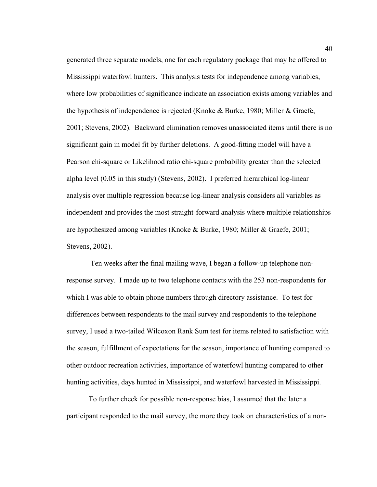generated three separate models, one for each regulatory package that may be offered to Mississippi waterfowl hunters. This analysis tests for independence among variables, where low probabilities of significance indicate an association exists among variables and the hypothesis of independence is rejected (Knoke & Burke, 1980; Miller & Graefe, 2001; Stevens, 2002). Backward elimination removes unassociated items until there is no significant gain in model fit by further deletions. A good-fitting model will have a Pearson chi-square or Likelihood ratio chi-square probability greater than the selected alpha level (0.05 in this study) (Stevens, 2002). I preferred hierarchical log-linear analysis over multiple regression because log-linear analysis considers all variables as independent and provides the most straight-forward analysis where multiple relationships are hypothesized among variables (Knoke & Burke, 1980; Miller & Graefe, 2001; Stevens, 2002).

 Ten weeks after the final mailing wave, I began a follow-up telephone nonresponse survey. I made up to two telephone contacts with the 253 non-respondents for which I was able to obtain phone numbers through directory assistance. To test for differences between respondents to the mail survey and respondents to the telephone survey, I used a two-tailed Wilcoxon Rank Sum test for items related to satisfaction with the season, fulfillment of expectations for the season, importance of hunting compared to other outdoor recreation activities, importance of waterfowl hunting compared to other hunting activities, days hunted in Mississippi, and waterfowl harvested in Mississippi.

 To further check for possible non-response bias, I assumed that the later a participant responded to the mail survey, the more they took on characteristics of a non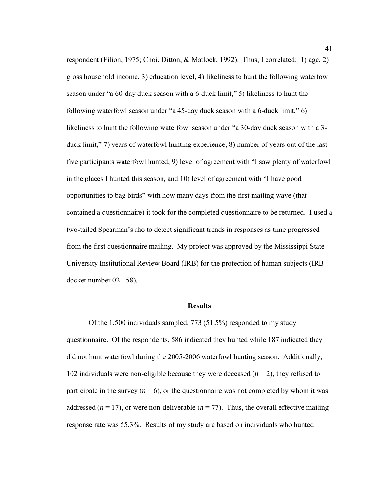respondent (Filion, 1975; Choi, Ditton, & Matlock, 1992). Thus, I correlated: 1) age, 2) gross household income, 3) education level, 4) likeliness to hunt the following waterfowl season under "a 60-day duck season with a 6-duck limit," 5) likeliness to hunt the following waterfowl season under "a 45-day duck season with a 6-duck limit," 6) likeliness to hunt the following waterfowl season under "a 30-day duck season with a 3 duck limit," 7) years of waterfowl hunting experience, 8) number of years out of the last five participants waterfowl hunted, 9) level of agreement with "I saw plenty of waterfowl in the places I hunted this season, and 10) level of agreement with "I have good opportunities to bag birds" with how many days from the first mailing wave (that contained a questionnaire) it took for the completed questionnaire to be returned. I used a two-tailed Spearman's rho to detect significant trends in responses as time progressed from the first questionnaire mailing. My project was approved by the Mississippi State University Institutional Review Board (IRB) for the protection of human subjects (IRB docket number 02-158).

#### **Results**

 Of the 1,500 individuals sampled, 773 (51.5%) responded to my study questionnaire. Of the respondents, 586 indicated they hunted while 187 indicated they did not hunt waterfowl during the 2005-2006 waterfowl hunting season. Additionally, 102 individuals were non-eligible because they were deceased  $(n = 2)$ , they refused to participate in the survey  $(n = 6)$ , or the questionnaire was not completed by whom it was addressed ( $n = 17$ ), or were non-deliverable ( $n = 77$ ). Thus, the overall effective mailing response rate was 55.3%. Results of my study are based on individuals who hunted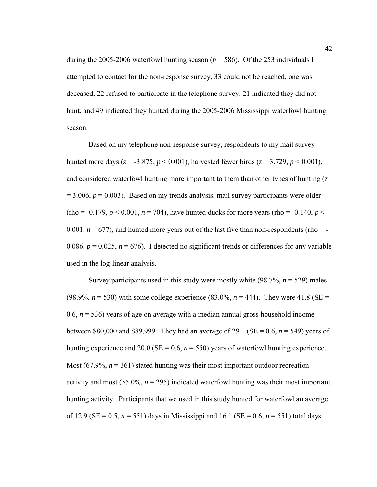during the 2005-2006 waterfowl hunting season  $(n = 586)$ . Of the 253 individuals I attempted to contact for the non-response survey, 33 could not be reached, one was deceased, 22 refused to participate in the telephone survey, 21 indicated they did not hunt, and 49 indicated they hunted during the 2005-2006 Mississippi waterfowl hunting season.

 Based on my telephone non-response survey, respondents to my mail survey hunted more days ( $z = -3.875$ ,  $p < 0.001$ ), harvested fewer birds ( $z = 3.729$ ,  $p < 0.001$ ), and considered waterfowl hunting more important to them than other types of hunting (*z*  $= 3.006$ ,  $p = 0.003$ ). Based on my trends analysis, mail survey participants were older  $(rho = -0.179, p < 0.001, n = 704)$ , have hunted ducks for more years (rho = -0.140, *p* < 0.001,  $n = 677$ ), and hunted more years out of the last five than non-respondents (rho = -0.086,  $p = 0.025$ ,  $n = 676$ ). I detected no significant trends or differences for any variable used in the log-linear analysis.

 Survey participants used in this study were mostly white (98.7%, *n* = 529) males (98.9%,  $n = 530$ ) with some college experience (83.0%,  $n = 444$ ). They were 41.8 (SE = 0.6,  $n = 536$ ) years of age on average with a median annual gross household income between \$80,000 and \$89,999. They had an average of 29.1 (SE = 0.6,  $n = 549$ ) years of hunting experience and 20.0 ( $SE = 0.6$ ,  $n = 550$ ) years of waterfowl hunting experience. Most  $(67.9\%, n = 361)$  stated hunting was their most important outdoor recreation activity and most  $(55.0\%, n = 295)$  indicated waterfowl hunting was their most important hunting activity. Participants that we used in this study hunted for waterfowl an average of 12.9 (SE = 0.5,  $n = 551$ ) days in Mississippi and 16.1 (SE = 0.6,  $n = 551$ ) total days.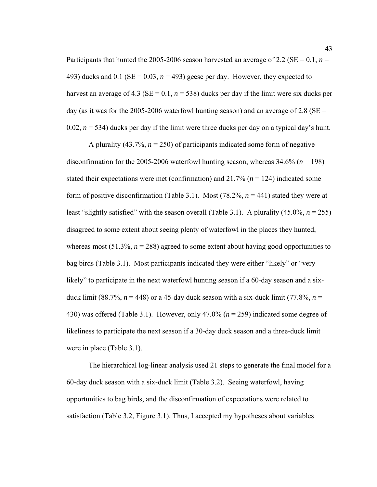Participants that hunted the 2005-2006 season harvested an average of 2.2 (SE =  $0.1$ , *n* = 493) ducks and  $0.1$  (SE =  $0.03$ ,  $n = 493$ ) geese per day. However, they expected to harvest an average of 4.3 ( $SE = 0.1$ ,  $n = 538$ ) ducks per day if the limit were six ducks per day (as it was for the 2005-2006 waterfowl hunting season) and an average of 2.8 ( $SE =$ 0.02,  $n = 534$ ) ducks per day if the limit were three ducks per day on a typical day's hunt.

 A plurality (43.7%, *n* = 250) of participants indicated some form of negative disconfirmation for the 2005-2006 waterfowl hunting season, whereas 34.6% (*n* = 198) stated their expectations were met (confirmation) and 21.7% (*n* = 124) indicated some form of positive disconfirmation (Table 3.1). Most (78.2%, *n* = 441) stated they were at least "slightly satisfied" with the season overall (Table 3.1). A plurality (45.0%, *n* = 255) disagreed to some extent about seeing plenty of waterfowl in the places they hunted, whereas most  $(51.3\%, n = 288)$  agreed to some extent about having good opportunities to bag birds (Table 3.1). Most participants indicated they were either "likely" or "very likely" to participate in the next waterfowl hunting season if a 60-day season and a sixduck limit (88.7%,  $n = 448$ ) or a 45-day duck season with a six-duck limit (77.8%,  $n =$ 430) was offered (Table 3.1). However, only 47.0% (*n* = 259) indicated some degree of likeliness to participate the next season if a 30-day duck season and a three-duck limit were in place (Table 3.1).

 The hierarchical log-linear analysis used 21 steps to generate the final model for a 60-day duck season with a six-duck limit (Table 3.2). Seeing waterfowl, having opportunities to bag birds, and the disconfirmation of expectations were related to satisfaction (Table 3.2, Figure 3.1). Thus, I accepted my hypotheses about variables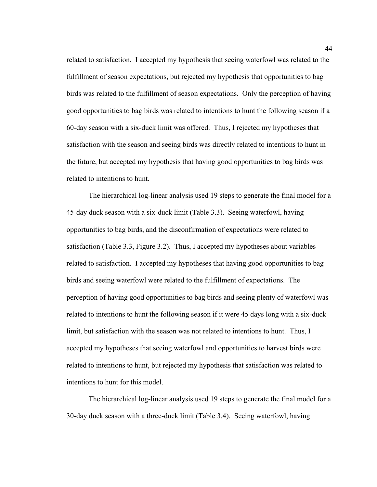related to satisfaction. I accepted my hypothesis that seeing waterfowl was related to the fulfillment of season expectations, but rejected my hypothesis that opportunities to bag birds was related to the fulfillment of season expectations. Only the perception of having good opportunities to bag birds was related to intentions to hunt the following season if a 60-day season with a six-duck limit was offered. Thus, I rejected my hypotheses that satisfaction with the season and seeing birds was directly related to intentions to hunt in the future, but accepted my hypothesis that having good opportunities to bag birds was related to intentions to hunt.

 The hierarchical log-linear analysis used 19 steps to generate the final model for a 45-day duck season with a six-duck limit (Table 3.3). Seeing waterfowl, having opportunities to bag birds, and the disconfirmation of expectations were related to satisfaction (Table 3.3, Figure 3.2). Thus, I accepted my hypotheses about variables related to satisfaction. I accepted my hypotheses that having good opportunities to bag birds and seeing waterfowl were related to the fulfillment of expectations. The perception of having good opportunities to bag birds and seeing plenty of waterfowl was related to intentions to hunt the following season if it were 45 days long with a six-duck limit, but satisfaction with the season was not related to intentions to hunt. Thus, I accepted my hypotheses that seeing waterfowl and opportunities to harvest birds were related to intentions to hunt, but rejected my hypothesis that satisfaction was related to intentions to hunt for this model.

 The hierarchical log-linear analysis used 19 steps to generate the final model for a 30-day duck season with a three-duck limit (Table 3.4). Seeing waterfowl, having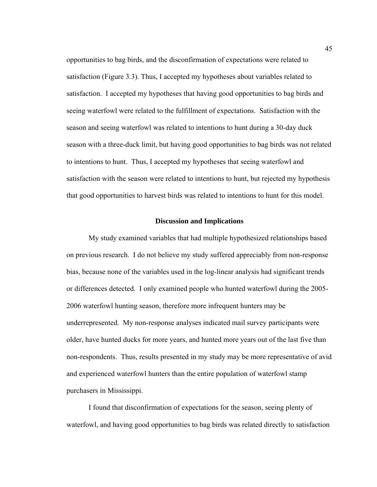opportunities to bag birds, and the disconfirmation of expectations were related to satisfaction (Figure 3.3). Thus, I accepted my hypotheses about variables related to satisfaction. I accepted my hypotheses that having good opportunities to bag birds and seeing waterfowl were related to the fulfillment of expectations. Satisfaction with the season and seeing waterfowl was related to intentions to hunt during a 30-day duck season with a three-duck limit, but having good opportunities to bag birds was not related to intentions to hunt. Thus, I accepted my hypotheses that seeing waterfowl and satisfaction with the season were related to intentions to hunt, but rejected my hypothesis that good opportunities to harvest birds was related to intentions to hunt for this model.

### **Discussion and Implications**

 My study examined variables that had multiple hypothesized relationships based on previous research. I do not believe my study suffered appreciably from non-response bias, because none of the variables used in the log-linear analysis had significant trends or differences detected. I only examined people who hunted waterfowl during the 2005- 2006 waterfowl hunting season, therefore more infrequent hunters may be underrepresented. My non-response analyses indicated mail survey participants were older, have hunted ducks for more years, and hunted more years out of the last five than non-respondents. Thus, results presented in my study may be more representative of avid and experienced waterfowl hunters than the entire population of waterfowl stamp purchasers in Mississippi.

 I found that disconfirmation of expectations for the season, seeing plenty of waterfowl, and having good opportunities to bag birds was related directly to satisfaction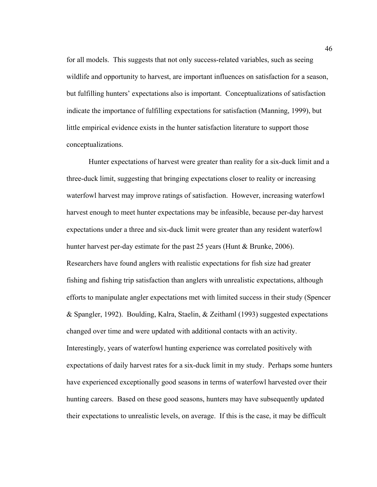for all models. This suggests that not only success-related variables, such as seeing wildlife and opportunity to harvest, are important influences on satisfaction for a season, but fulfilling hunters' expectations also is important. Conceptualizations of satisfaction indicate the importance of fulfilling expectations for satisfaction (Manning, 1999), but little empirical evidence exists in the hunter satisfaction literature to support those conceptualizations.

 Hunter expectations of harvest were greater than reality for a six-duck limit and a three-duck limit, suggesting that bringing expectations closer to reality or increasing waterfowl harvest may improve ratings of satisfaction. However, increasing waterfowl harvest enough to meet hunter expectations may be infeasible, because per-day harvest expectations under a three and six-duck limit were greater than any resident waterfowl hunter harvest per-day estimate for the past 25 years (Hunt & Brunke, 2006). Researchers have found anglers with realistic expectations for fish size had greater fishing and fishing trip satisfaction than anglers with unrealistic expectations, although efforts to manipulate angler expectations met with limited success in their study (Spencer & Spangler, 1992). Boulding, Kalra, Staelin, & Zeithaml (1993) suggested expectations changed over time and were updated with additional contacts with an activity. Interestingly, years of waterfowl hunting experience was correlated positively with expectations of daily harvest rates for a six-duck limit in my study. Perhaps some hunters have experienced exceptionally good seasons in terms of waterfowl harvested over their hunting careers. Based on these good seasons, hunters may have subsequently updated their expectations to unrealistic levels, on average. If this is the case, it may be difficult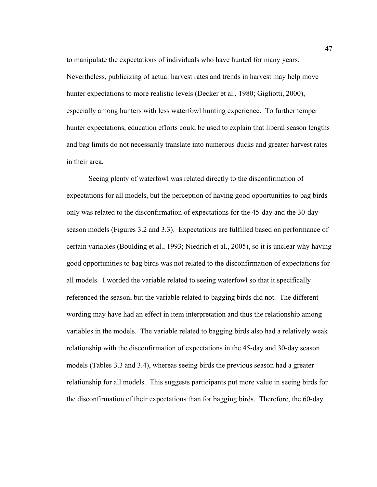to manipulate the expectations of individuals who have hunted for many years. Nevertheless, publicizing of actual harvest rates and trends in harvest may help move hunter expectations to more realistic levels (Decker et al., 1980; Gigliotti, 2000), especially among hunters with less waterfowl hunting experience. To further temper hunter expectations, education efforts could be used to explain that liberal season lengths and bag limits do not necessarily translate into numerous ducks and greater harvest rates in their area.

 Seeing plenty of waterfowl was related directly to the disconfirmation of expectations for all models, but the perception of having good opportunities to bag birds only was related to the disconfirmation of expectations for the 45-day and the 30-day season models (Figures 3.2 and 3.3). Expectations are fulfilled based on performance of certain variables (Boulding et al., 1993; Niedrich et al., 2005), so it is unclear why having good opportunities to bag birds was not related to the disconfirmation of expectations for all models. I worded the variable related to seeing waterfowl so that it specifically referenced the season, but the variable related to bagging birds did not. The different wording may have had an effect in item interpretation and thus the relationship among variables in the models. The variable related to bagging birds also had a relatively weak relationship with the disconfirmation of expectations in the 45-day and 30-day season models (Tables 3.3 and 3.4), whereas seeing birds the previous season had a greater relationship for all models. This suggests participants put more value in seeing birds for the disconfirmation of their expectations than for bagging birds. Therefore, the 60-day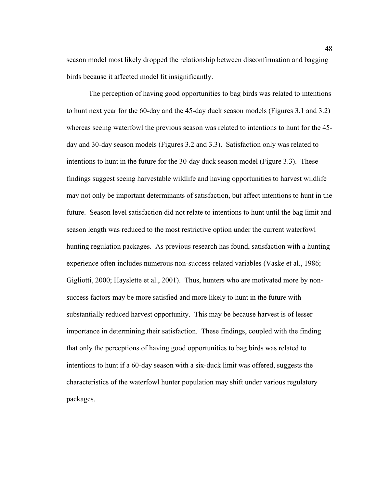season model most likely dropped the relationship between disconfirmation and bagging birds because it affected model fit insignificantly.

 The perception of having good opportunities to bag birds was related to intentions to hunt next year for the 60-day and the 45-day duck season models (Figures 3.1 and 3.2) whereas seeing waterfowl the previous season was related to intentions to hunt for the 45 day and 30-day season models (Figures 3.2 and 3.3). Satisfaction only was related to intentions to hunt in the future for the 30-day duck season model (Figure 3.3). These findings suggest seeing harvestable wildlife and having opportunities to harvest wildlife may not only be important determinants of satisfaction, but affect intentions to hunt in the future. Season level satisfaction did not relate to intentions to hunt until the bag limit and season length was reduced to the most restrictive option under the current waterfowl hunting regulation packages. As previous research has found, satisfaction with a hunting experience often includes numerous non-success-related variables (Vaske et al., 1986; Gigliotti, 2000; Hayslette et al., 2001). Thus, hunters who are motivated more by nonsuccess factors may be more satisfied and more likely to hunt in the future with substantially reduced harvest opportunity. This may be because harvest is of lesser importance in determining their satisfaction. These findings, coupled with the finding that only the perceptions of having good opportunities to bag birds was related to intentions to hunt if a 60-day season with a six-duck limit was offered, suggests the characteristics of the waterfowl hunter population may shift under various regulatory packages.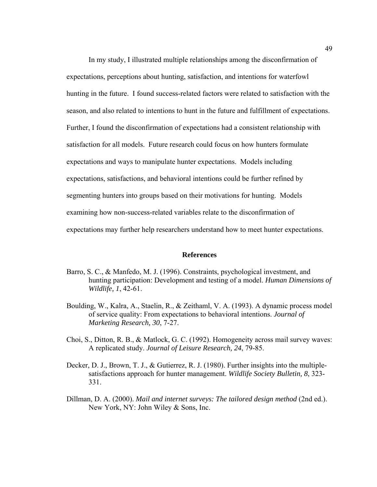In my study, I illustrated multiple relationships among the disconfirmation of expectations, perceptions about hunting, satisfaction, and intentions for waterfowl hunting in the future. I found success-related factors were related to satisfaction with the season, and also related to intentions to hunt in the future and fulfillment of expectations. Further, I found the disconfirmation of expectations had a consistent relationship with satisfaction for all models. Future research could focus on how hunters formulate expectations and ways to manipulate hunter expectations. Models including expectations, satisfactions, and behavioral intentions could be further refined by segmenting hunters into groups based on their motivations for hunting. Models examining how non-success-related variables relate to the disconfirmation of expectations may further help researchers understand how to meet hunter expectations.

#### **References**

- Barro, S. C., & Manfedo, M. J. (1996). Constraints, psychological investment, and hunting participation: Development and testing of a model. *Human Dimensions of Wildlife, 1*, 42-61.
- Boulding, W., Kalra, A., Staelin, R., & Zeithaml, V. A. (1993). A dynamic process model of service quality: From expectations to behavioral intentions. *Journal of Marketing Research, 30*, 7-27.
- Choi, S., Ditton, R. B., & Matlock, G. C. (1992). Homogeneity across mail survey waves: A replicated study. *Journal of Leisure Research, 24*, 79-85.
- Decker, D. J., Brown, T. J., & Gutierrez, R. J. (1980). Further insights into the multiplesatisfactions approach for hunter management. *Wildlife Society Bulletin, 8*, 323- 331.
- Dillman, D. A. (2000). *Mail and internet surveys: The tailored design method* (2nd ed.). New York, NY: John Wiley & Sons, Inc.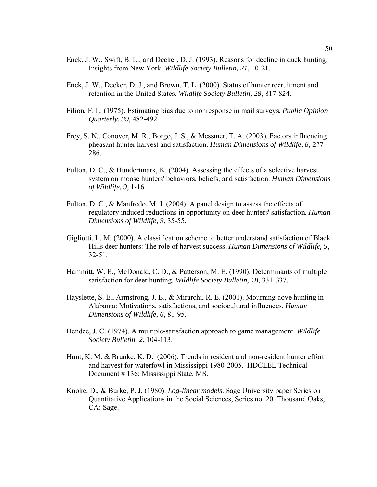- Enck, J. W., Swift, B. L., and Decker, D. J. (1993). Reasons for decline in duck hunting: Insights from New York. *Wildlife Society Bulletin, 21*, 10-21.
- Enck, J. W., Decker, D. J., and Brown, T. L. (2000). Status of hunter recruitment and retention in the United States. *Wildlife Society Bulletin, 28*, 817-824.
- Filion, F. L. (1975). Estimating bias due to nonresponse in mail surveys. *Public Opinion Quarterly, 39*, 482-492.
- Frey, S. N., Conover, M. R., Borgo, J. S., & Messmer, T. A. (2003). Factors influencing pheasant hunter harvest and satisfaction. *Human Dimensions of Wildlife, 8*, 277- 286.
- Fulton, D. C., & Hundertmark, K. (2004). Assessing the effects of a selective harvest system on moose hunters' behaviors, beliefs, and satisfaction. *Human Dimensions of Wildlife, 9*, 1-16.
- Fulton, D. C., & Manfredo, M. J. (2004). A panel design to assess the effects of regulatory induced reductions in opportunity on deer hunters' satisfaction. *Human Dimensions of Wildlife, 9*, 35-55.
- Gigliotti, L. M. (2000). A classification scheme to better understand satisfaction of Black Hills deer hunters: The role of harvest success. *Human Dimensions of Wildlife, 5*, 32-51.
- Hammitt, W. E., McDonald, C. D., & Patterson, M. E. (1990). Determinants of multiple satisfaction for deer hunting. *Wildlife Society Bulletin, 18*, 331-337.
- Hayslette, S. E., Armstrong, J. B., & Mirarchi, R. E. (2001). Mourning dove hunting in Alabama: Motivations, satisfactions, and sociocultural influences. *Human Dimensions of Wildlife, 6*, 81-95.
- Hendee, J. C. (1974). A multiple-satisfaction approach to game management. *Wildlife Society Bulletin, 2*, 104-113.
- Hunt, K. M. & Brunke, K. D. (2006). Trends in resident and non-resident hunter effort and harvest for waterfowl in Mississippi 1980-2005. HDCLEL Technical Document # 136: Mississippi State, MS.
- Knoke, D., & Burke, P. J. (1980). *Log-linear models*. Sage University paper Series on Quantitative Applications in the Social Sciences, Series no. 20. Thousand Oaks, CA: Sage.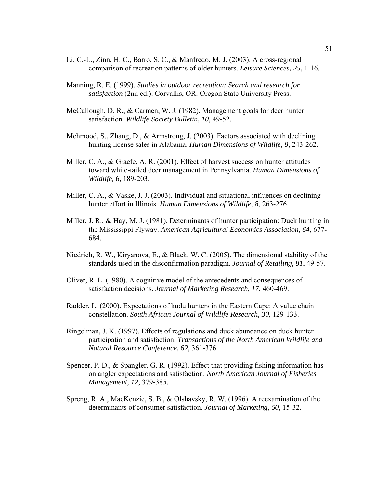- Li, C.-L., Zinn, H. C., Barro, S. C., & Manfredo, M. J. (2003). A cross-regional comparison of recreation patterns of older hunters. *Leisure Sciences, 25*, 1-16.
- Manning, R. E. (1999). *Studies in outdoor recreation: Search and research for satisfaction* (2nd ed.). Corvallis, OR: Oregon State University Press.
- McCullough, D. R., & Carmen, W. J. (1982). Management goals for deer hunter satisfaction. *Wildlife Society Bulletin, 10*, 49-52.
- Mehmood, S., Zhang, D., & Armstrong, J. (2003). Factors associated with declining hunting license sales in Alabama. *Human Dimensions of Wildlife, 8*, 243-262.
- Miller, C. A., & Graefe, A. R. (2001). Effect of harvest success on hunter attitudes toward white-tailed deer management in Pennsylvania. *Human Dimensions of Wildlife, 6*, 189-203.
- Miller, C. A., & Vaske, J. J. (2003). Individual and situational influences on declining hunter effort in Illinois. *Human Dimensions of Wildlife, 8*, 263-276.
- Miller, J. R., & Hay, M. J. (1981). Determinants of hunter participation: Duck hunting in the Mississippi Flyway. *American Agricultural Economics Association*, *64,* 677- 684.
- Niedrich, R. W., Kiryanova, E., & Black, W. C. (2005). The dimensional stability of the standards used in the disconfirmation paradigm. *Journal of Retailing, 81*, 49-57.
- Oliver, R. L. (1980). A cognitive model of the antecedents and consequences of satisfaction decisions. *Journal of Marketing Research, 17*, 460-469.
- Radder, L. (2000). Expectations of kudu hunters in the Eastern Cape: A value chain constellation. *South African Journal of Wildlife Research, 30*, 129-133.
- Ringelman, J. K. (1997). Effects of regulations and duck abundance on duck hunter participation and satisfaction. *Transactions of the North American Wildlife and Natural Resource Conference, 62*, 361-376.
- Spencer, P. D., & Spangler, G. R. (1992). Effect that providing fishing information has on angler expectations and satisfaction. *North American Journal of Fisheries Management, 12*, 379-385.
- Spreng, R. A., MacKenzie, S. B., & Olshavsky, R. W. (1996). A reexamination of the determinants of consumer satisfaction. *Journal of Marketing, 60*, 15-32.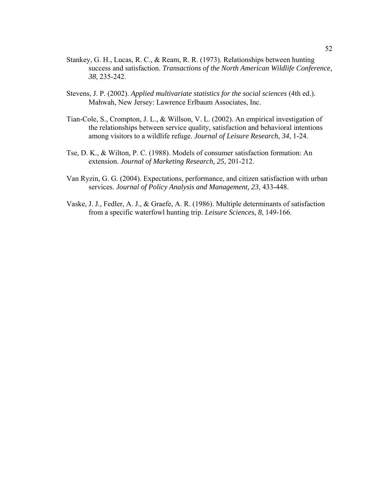- Stankey, G. H., Lucas, R. C., & Ream, R. R. (1973). Relationships between hunting success and satisfaction. *Transactions of the North American Wildlife Conference, 38*, 235-242.
- Stevens, J. P. (2002). *Applied multivariate statistics for the social sciences* (4th ed.). Mahwah, New Jersey: Lawrence Erlbaum Associates, Inc.
- Tian-Cole, S., Crompton, J. L., & Willson, V. L. (2002). An empirical investigation of the relationships between service quality, satisfaction and behavioral intentions among visitors to a wildlife refuge. *Journal of Leisure Research, 34*, 1-24.
- Tse, D. K., & Wilton, P. C. (1988). Models of consumer satisfaction formation: An extension. *Journal of Marketing Research, 25*, 201-212.
- Van Ryzin, G. G. (2004). Expectations, performance, and citizen satisfaction with urban services. *Journal of Policy Analysis and Management, 23*, 433-448.
- Vaske, J. J., Fedler, A. J., & Graefe, A. R. (1986). Multiple determinants of satisfaction from a specific waterfowl hunting trip. *Leisure Sciences, 8*, 149-166.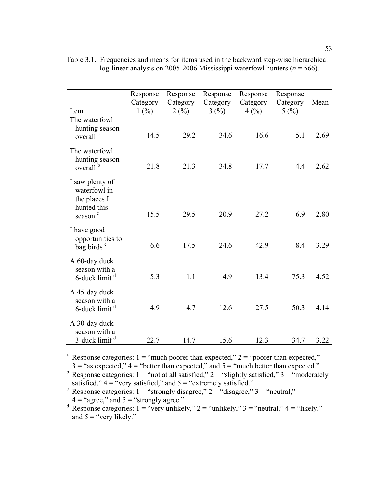| Item                                                                                  | Response<br>Category<br>1(%) | Response<br>Category<br>2(%) | Response<br>Category<br>3(%) | Response<br>Category<br>4(%) | Response<br>Category<br>5(%) | Mean |
|---------------------------------------------------------------------------------------|------------------------------|------------------------------|------------------------------|------------------------------|------------------------------|------|
| The waterfowl<br>hunting season<br>overall <sup>a</sup>                               | 14.5                         | 29.2                         | 34.6                         | 16.6                         | 5.1                          | 2.69 |
| The waterfowl<br>hunting season<br>overall <sup>b</sup>                               | 21.8                         | 21.3                         | 34.8                         | 17.7                         | 4.4                          | 2.62 |
| I saw plenty of<br>waterfowl in<br>the places I<br>hunted this<br>season <sup>c</sup> | 15.5                         | 29.5                         | 20.9                         | 27.2                         | 6.9                          | 2.80 |
| I have good<br>opportunities to<br>bag birds <sup>c</sup>                             | 6.6                          | 17.5                         | 24.6                         | 42.9                         | 8.4                          | 3.29 |
| A 60-day duck<br>season with a<br>6-duck limit <sup>d</sup>                           | 5.3                          | 1.1                          | 4.9                          | 13.4                         | 75.3                         | 4.52 |
| A 45-day duck<br>season with a<br>6-duck limit <sup>d</sup>                           | 4.9                          | 4.7                          | 12.6                         | 27.5                         | 50.3                         | 4.14 |
| A 30-day duck<br>season with a<br>3-duck limit <sup>d</sup>                           | 22.7                         | 14.7                         | 15.6                         | 12.3                         | 34.7                         | 3.22 |

Table 3.1. Frequencies and means for items used in the backward step-wise hierarchical log-linear analysis on 2005-2006 Mississippi waterfowl hunters ( $n = 566$ ).

<sup>a</sup> Response categories:  $1 =$  "much poorer than expected,"  $2 =$  "poorer than expected,"

 $3 =$  "as expected,"  $4 =$  "better than expected," and  $5 =$  "much better than expected."<br>
Response categories:  $1 =$  "not at all satisfied,"  $2 =$  "slightly satisfied,"  $3 =$  "moderately satisfied,"  $4 =$ "very satisfied," and  $5 =$ "extremely satisfied."

 $\epsilon$  Response categories: 1 = "strongly disagree," 2 = "disagree," 3 = "neutral,"

 $4 =$  "agree," and  $5 =$  "strongly agree."<br>
d Response categories:  $1 =$  "very unlikely,"  $2 =$  "unlikely,"  $3 =$  "neutral,"  $4 =$  "likely," and  $5 =$  "very likely."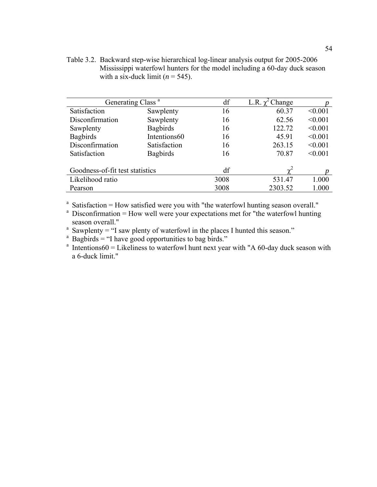Table 3.2. Backward step-wise hierarchical log-linear analysis output for 2005-2006 Mississippi waterfowl hunters for the model including a 60-day duck season with a six-duck limit  $(n = 545)$ .

| Generating Class <sup>a</sup>   |                 | df   | L.R. $\chi^2$ Change |         |
|---------------------------------|-----------------|------|----------------------|---------|
| Satisfaction                    | Sawplenty       | 16   | 60.37                | < 0.001 |
| Disconfirmation                 | Sawplenty       | 16   | 62.56                | < 0.001 |
| Sawplenty                       | <b>Bagbirds</b> | 16   | 122.72               | < 0.001 |
| <b>Bagbirds</b>                 | Intentions60    | 16   | 45.91                | < 0.001 |
| Disconfirmation                 | Satisfaction    | 16   | 263.15               | < 0.001 |
| Satisfaction                    | <b>Bagbirds</b> | 16   | 70.87                | < 0.001 |
|                                 |                 |      |                      |         |
| Goodness-of-fit test statistics |                 | df   | $\mathbf{v}^*$       |         |
| Likelihood ratio                |                 | 3008 | 531.47               | 1.000   |
| Pearson                         |                 | 3008 | 2303.52              | 1.000   |

<sup>a</sup> Satisfaction = How satisfied were you with "the waterfowl hunting season overall."<br><sup>a</sup> Disconfirmation = How well were your expectations met for "the waterfowl hunting

 $\alpha$  Disconfirmation = How well were your expectations met for "the waterfowl hunting" season overall."

<sup>a</sup> Sawplenty = "I saw plenty of waterfowl in the places I hunted this season."

 $\alpha$  Bagbirds = "I have good opportunities to bag birds."

<sup>a</sup> Intentions60 = Likeliness to waterfowl hunt next year with "A 60-day duck season with a 6-duck limit."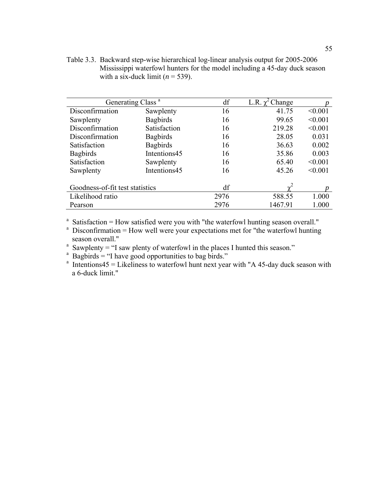Table 3.3. Backward step-wise hierarchical log-linear analysis output for 2005-2006 Mississippi waterfowl hunters for the model including a 45-day duck season with a six-duck limit  $(n = 539)$ .

| Generating Class <sup>a</sup>   |                 | df   | $\gamma^2$ Change<br>L.R. |         |
|---------------------------------|-----------------|------|---------------------------|---------|
| Disconfirmation                 | Sawplenty       | 16   | 41.75                     | < 0.001 |
| Sawplenty                       | <b>Bagbirds</b> | 16   | 99.65                     | < 0.001 |
| Disconfirmation                 | Satisfaction    | 16   | 219.28                    | < 0.001 |
| Disconfirmation                 | <b>Bagbirds</b> | 16   | 28.05                     | 0.031   |
| Satisfaction                    | <b>Bagbirds</b> | 16   | 36.63                     | 0.002   |
| <b>Bagbirds</b>                 | Intentions45    | 16   | 35.86                     | 0.003   |
| Satisfaction                    | Sawplenty       | 16   | 65.40                     | < 0.001 |
| Sawplenty                       | Intentions45    | 16   | 45.26                     | < 0.001 |
| Goodness-of-fit test statistics |                 | df   | $\sim$                    |         |
| Likelihood ratio                |                 | 2976 | 588.55                    | 1.000   |
| Pearson                         |                 | 2976 | 1467.91                   | 1.000   |

<sup>a</sup> Satisfaction = How satisfied were you with "the waterfowl hunting season overall."<br><sup>a</sup> Disconfirmation = How well were your expectations met for "the waterfowl hunting

 $^{\circ}$  Disconfirmation = How well were your expectations met for "the waterfowl hunting"

season overall."<br>
<sup>a</sup> Sawplenty = "I saw plenty of waterfowl in the places I hunted this season."<br>
<sup>a</sup> Bagbirds = "I have good opportunities to bag birds."<br>
<sup>a</sup> Intentions45 = Likeliness to waterfowl hunt next year with " a 6-duck limit."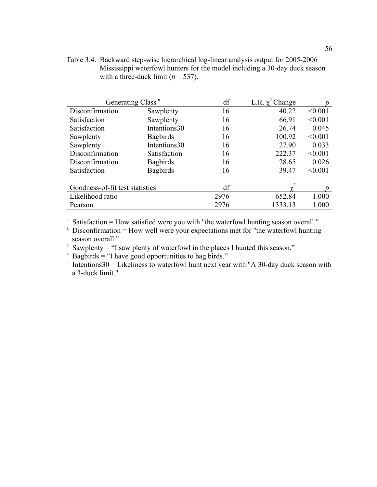Table 3.4. Backward step-wise hierarchical log-linear analysis output for 2005-2006 Mississippi waterfowl hunters for the model including a 30-day duck season with a three-duck limit  $(n = 537)$ .

| Generating Class <sup>a</sup>   |                 | df   | L.R. $\chi^2$ Change |         |
|---------------------------------|-----------------|------|----------------------|---------|
| Disconfirmation                 | Sawplenty       | 16   | 40.22                | < 0.001 |
| Satisfaction                    | Sawplenty       | 16   | 66.91                | < 0.001 |
| Satisfaction                    | Intentions30    | 16   | 26.74                | 0.045   |
| Sawplenty                       | <b>Bagbirds</b> | 16   | 100.92               | < 0.001 |
| Sawplenty                       | Intentions30    | 16   | 27.90                | 0.033   |
| Disconfirmation                 | Satisfaction    | 16   | 222.37               | < 0.001 |
| Disconfirmation                 | <b>Bagbirds</b> | 16   | 28.65                | 0.026   |
| Satisfaction                    | <b>Bagbirds</b> | 16   | 39.47                | < 0.001 |
|                                 |                 |      |                      |         |
| Goodness-of-fit test statistics |                 | df   |                      |         |
| Likelihood ratio                |                 | 2976 | 652.84               | 1.000   |
| Pearson                         |                 | 2976 | 1333.13              | 1.000   |

<sup>a</sup> Satisfaction = How satisfied were you with "the waterfowl hunting season overall."<br><sup>a</sup> Disconfirmation = How well were your expectations met for "the waterfowl hunting

 $^{\circ}$  Disconfirmation = How well were your expectations met for "the waterfowl hunting"

season overall."<br>
<sup>a</sup> Sawplenty = "I saw plenty of waterfowl in the places I hunted this season."<br>
<sup>a</sup> Bagbirds = "I have good opportunities to bag birds."<br>
<sup>a</sup> Intentions30 = Likeliness to waterfowl hunt next year with " a 3-duck limit."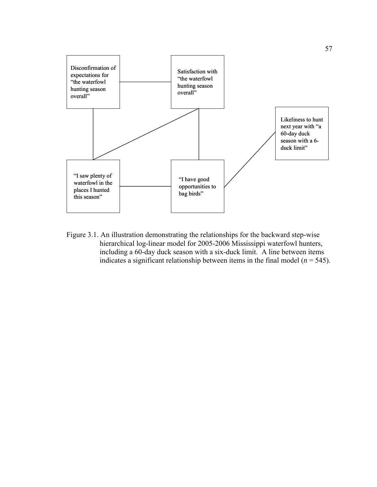

Figure 3.1. An illustration demonstrating the relationships for the backward step-wise hierarchical log-linear model for 2005-2006 Mississippi waterfowl hunters, including a 60-day duck season with a six-duck limit. A line between items indicates a significant relationship between items in the final model ( $n = 545$ ).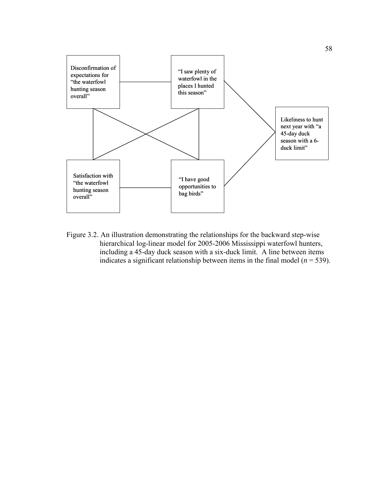

Figure 3.2. An illustration demonstrating the relationships for the backward step-wise hierarchical log-linear model for 2005-2006 Mississippi waterfowl hunters, including a 45-day duck season with a six-duck limit. A line between items indicates a significant relationship between items in the final model ( $n = 539$ ).